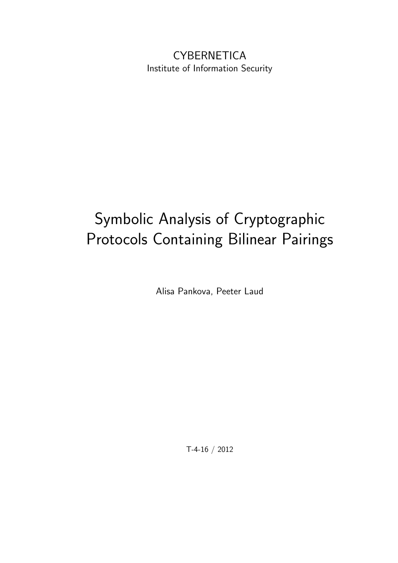**CYBERNETICA** Institute of Information Security

# Symbolic Analysis of Cryptographic Protocols Containing Bilinear Pairings

Alisa Pankova, Peeter Laud

T-4-16 / 2012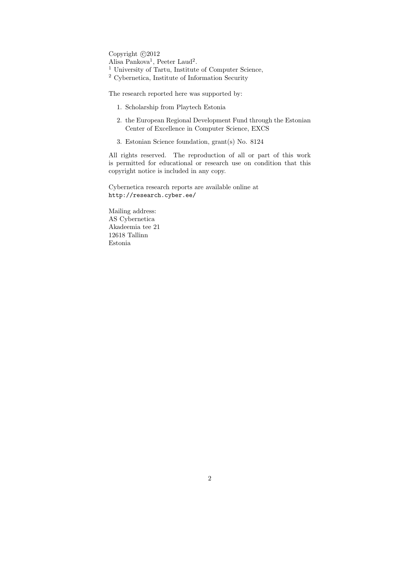Copyright  $\odot$ 2012

Alisa Pankova<sup>1</sup>, Peeter Laud<sup>2</sup>.

<sup>1</sup> University of Tartu, Institute of Computer Science,

<sup>2</sup> Cybernetica, Institute of Information Security

The research reported here was supported by:

- 1. Scholarship from Playtech Estonia
- 2. the European Regional Development Fund through the Estonian Center of Excellence in Computer Science, EXCS
- 3. Estonian Science foundation, grant(s) No. 8124

All rights reserved. The reproduction of all or part of this work is permitted for educational or research use on condition that this copyright notice is included in any copy.

Cybernetica research reports are available online at http://research.cyber.ee/

Mailing address: AS Cybernetica Akadeemia tee 21 12618 Tallinn Estonia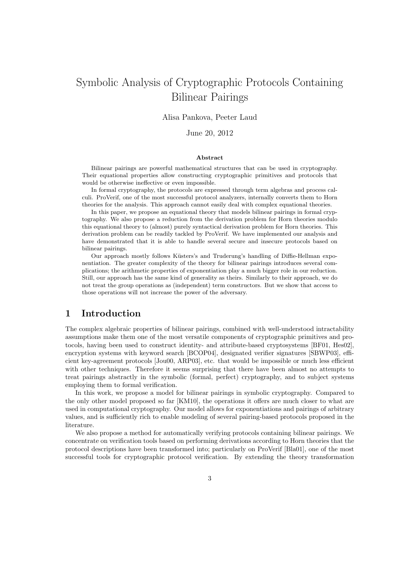## Symbolic Analysis of Cryptographic Protocols Containing Bilinear Pairings

Alisa Pankova, Peeter Laud

### June 20, 2012

#### Abstract

Bilinear pairings are powerful mathematical structures that can be used in cryptography. Their equational properties allow constructing cryptographic primitives and protocols that would be otherwise ineffective or even impossible.

In formal cryptography, the protocols are expressed through term algebras and process calculi. ProVerif, one of the most successful protocol analyzers, internally converts them to Horn theories for the analysis. This approach cannot easily deal with complex equational theories.

In this paper, we propose an equational theory that models bilinear pairings in formal cryptography. We also propose a reduction from the derivation problem for Horn theories modulo this equational theory to (almost) purely syntactical derivation problem for Horn theories. This derivation problem can be readily tackled by ProVerif. We have implemented our analysis and have demonstrated that it is able to handle several secure and insecure protocols based on bilinear pairings.

Our approach mostly follows Küsters's and Truderung's handling of Diffie-Hellman exponentiation. The greater complexity of the theory for bilinear pairings introduces several complications; the arithmetic properties of exponentiation play a much bigger role in our reduction. Still, our approach has the same kind of generality as theirs. Similarly to their approach, we do not treat the group operations as (independent) term constructors. But we show that access to those operations will not increase the power of the adversary.

## 1 Introduction

The complex algebraic properties of bilinear pairings, combined with well-understood intractability assumptions make them one of the most versatile components of cryptographic primitives and protocols, having been used to construct identity- and attribute-based cryptosystems [BF01, Hes02], encryption systems with keyword search [BCOP04], designated verifier signatures [SBWP03], efficient key-agreement protocols [Jou00, ARP03], etc. that would be impossible or much less efficient with other techniques. Therefore it seems surprising that there have been almost no attempts to treat pairings abstractly in the symbolic (formal, perfect) cryptography, and to subject systems employing them to formal verification.

In this work, we propose a model for bilinear pairings in symbolic cryptography. Compared to the only other model proposed so far [KM10], the operations it offers are much closer to what are used in computational cryptography. Our model allows for exponentiations and pairings of arbitrary values, and is sufficiently rich to enable modeling of several pairing-based protocols proposed in the literature.

We also propose a method for automatically verifying protocols containing bilinear pairings. We concentrate on verification tools based on performing derivations according to Horn theories that the protocol descriptions have been transformed into; particularly on ProVerif [Bla01], one of the most successful tools for cryptographic protocol verification. By extending the theory transformation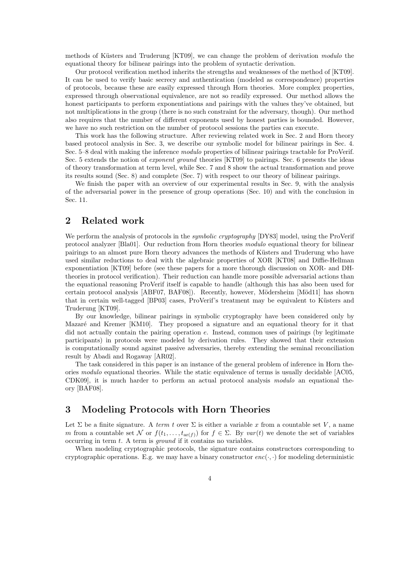methods of Küsters and Truderung [KT09], we can change the problem of derivation modulo the equational theory for bilinear pairings into the problem of syntactic derivation.

Our protocol verification method inherits the strengths and weaknesses of the method of [KT09]. It can be used to verify basic secrecy and authentication (modeled as correspondence) properties of protocols, because these are easily expressed through Horn theories. More complex properties, expressed through observational equivalence, are not so readily expressed. Our method allows the honest participants to perform exponentiations and pairings with the values they've obtained, but not multiplications in the group (there is no such constraint for the adversary, though). Our method also requires that the number of different exponents used by honest parties is bounded. However, we have no such restriction on the number of protocol sessions the parties can execute.

This work has the following structure. After reviewing related work in Sec. 2 and Horn theory based protocol analysis in Sec. 3, we describe our symbolic model for bilinear pairings in Sec. 4. Sec. 5–8 deal with making the inference modulo properties of bilinear pairings tractable for ProVerif. Sec. 5 extends the notion of exponent ground theories [KT09] to pairings. Sec. 6 presents the ideas of theory transformation at term level, while Sec. 7 and 8 show the actual transformation and prove its results sound (Sec. 8) and complete (Sec. 7) with respect to our theory of bilinear pairings.

We finish the paper with an overview of our experimental results in Sec. 9, with the analysis of the adversarial power in the presence of group operations (Sec. 10) and with the conclusion in Sec. 11.

## 2 Related work

We perform the analysis of protocols in the *symbolic cryptography* [DY83] model, using the ProVerif protocol analyzer [Bla01]. Our reduction from Horn theories modulo equational theory for bilinear pairings to an almost pure Horn theory advances the methods of Küsters and Truderung who have used similar reductions to deal with the algebraic properties of XOR [KT08] and Diffie-Hellman exponentiation [KT09] before (see these papers for a more thorough discussion on XOR- and DHtheories in protocol verification). Their reduction can handle more possible adversarial actions than the equational reasoning ProVerif itself is capable to handle (although this has also been used for certain protocol analysis [ABF07, BAF08]). Recently, however, Mödersheim [Möd11] has shown that in certain well-tagged [BP03] cases, ProVerif's treatment may be equivalent to Küsters and Truderung [KT09].

By our knowledge, bilinear pairings in symbolic cryptography have been considered only by Mazaré and Kremer [KM10]. They proposed a signature and an equational theory for it that did not actually contain the pairing operation e. Instead, common uses of pairings (by legitimate participants) in protocols were modeled by derivation rules. They showed that their extension is computationally sound against passive adversaries, thereby extending the seminal reconciliation result by Abadi and Rogaway [AR02].

The task considered in this paper is an instance of the general problem of inference in Horn theories modulo equational theories. While the static equivalence of terms is usually decidable [AC05, CDK09], it is much harder to perform an actual protocol analysis modulo an equational theory [BAF08].

## 3 Modeling Protocols with Horn Theories

Let  $\Sigma$  be a finite signature. A term t over  $\Sigma$  is either a variable x from a countable set V, a name m from a countable set N or  $f(t_1,\ldots,t_{\operatorname{ar}(f)})$  for  $f \in \Sigma$ . By  $var(t)$  we denote the set of variables occurring in term t. A term is ground if it contains no variables.

When modeling cryptographic protocols, the signature contains constructors corresponding to cryptographic operations. E.g. we may have a binary constructor  $enc(\cdot, \cdot)$  for modeling deterministic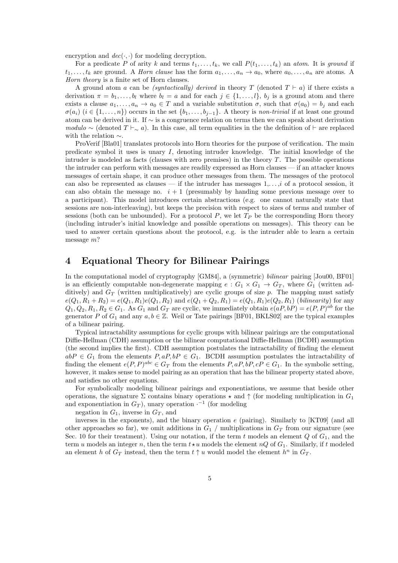encryption and  $dec(\cdot, \cdot)$  for modeling decryption.

For a predicate P of arity k and terms  $t_1, \ldots, t_k$ , we call  $P(t_1, \ldots, t_k)$  an atom. It is ground if  $t_1, \ldots, t_k$  are ground. A *Horn clause* has the form  $a_1, \ldots, a_n \to a_0$ , where  $a_0, \ldots, a_n$  are atoms. A Horn theory is a finite set of Horn clauses.

A ground atom a can be *(syntactically)* derived in theory T (denoted  $T \vdash a$ ) if there exists a derivation  $\pi = b_1, \ldots, b_l$  where  $b_l = a$  and for each  $j \in \{1, \ldots, l\}$ ,  $b_j$  is a ground atom and there exists a clause  $a_1, \ldots, a_n \to a_0 \in T$  and a variable substitution  $\sigma$ , such that  $\sigma(a_0) = b_j$  and each  $\sigma(a_i)$  (i ∈ {1, ..., n}) occurs in the set  $\{b_1,\ldots,b_{i-1}\}$ . A theory is non-trivial if at least one ground atom can be derived in it. If ∼ is a congruence relation on terms then we can speak about derivation modulo ∼ (denoted  $T \vdash_{\sim} a$ ). In this case, all term equalities in the the definition of  $\vdash$  are replaced with the relation ∼.

ProVerif [Bla01] translates protocols into Horn theories for the purpose of verification. The main predicate symbol it uses is unary  $I$ , denoting intruder knowledge. The initial knowledge of the intruder is modeled as facts (clauses with zero premises) in the theory  $T$ . The possible operations the intruder can perform with messages are readily expressed as Horn clauses — if an attacker knows messages of certain shape, it can produce other messages from them. The messages of the protocol can also be represented as clauses — if the intruder has messages  $1, \ldots, i$  of a protocol session, it can also obtain the message no.  $i + 1$  (presumably by handing some previous message over to a participant). This model introduces certain abstractions (e.g. one cannot naturally state that sessions are non-interleaving), but keeps the precision with respect to sizes of terms and number of sessions (both can be unbounded). For a protocol  $P$ , we let  $T_P$  be the corresponding Horn theory (including intruder's initial knowledge and possible operations on messages). This theory can be used to answer certain questions about the protocol, e.g. is the intruder able to learn a certain message m?

## 4 Equational Theory for Bilinear Pairings

In the computational model of cryptography [GM84], a (symmetric) bilinear pairing [Jou00, BF01] is an efficiently computable non-degenerate mapping  $e : G_1 \times G_1 \rightarrow G_T$ , where  $G_1$  (written additively) and  $G_T$  (written multiplicatively) are cyclic groups of size p. The mapping must satisfy  $e(Q_1, R_1 + R_2) = e(Q_1, R_1)e(Q_1, R_2)$  and  $e(Q_1 + Q_2, R_1) = e(Q_1, R_1)e(Q_2, R_1)$  (bilinearity) for any  $Q_1, Q_2, R_1, R_2 \in G_1$ . As  $G_1$  and  $G_T$  are cyclic, we immediately obtain  $e(aP, bP) = e(P, P)^{ab}$  for the generator P of  $G_1$  and any  $a, b \in \mathbb{Z}$ . Weil or Tate pairings [BF01, BKLS02] are the typical examples of a bilinear pairing.

Typical intractability assumptions for cyclic groups with bilinear pairings are the computational Diffie-Hellman (CDH) assumption or the bilinear computational Diffie-Hellman (BCDH) assumption (the second implies the first). CDH assumption postulates the intractability of finding the element  $abP \in G_1$  from the elements  $P, aP, bP \in G_1$ . BCDH assumption postulates the intractability of finding the element  $e(P, P)^{abc} \in G_T$  from the elements  $P, aP, bP, cP \in G_1$ . In the symbolic setting, however, it makes sense to model pairing as an operation that has the bilinear property stated above, and satisfies no other equations.

For symbolically modeling bilinear pairings and exponentiations, we assume that beside other operations, the signature  $\Sigma$  contains binary operations  $\star$  and  $\uparrow$  (for modeling multiplication in  $G_1$ and exponentiation in  $G_T$ ), unary operation  $\cdot^{-1}$  (for modeling

negation in  $G_1$ , inverse in  $G_T$ , and

inverses in the exponents), and the binary operation e (pairing). Similarly to [KT09] (and all other approaches so far), we omit additions in  $G_1$  / multiplications in  $G_T$  from our signature (see Sec. 10 for their treatment). Using our notation, if the term t models an element  $Q$  of  $G_1$ , and the term u models an integer n, then the term  $t \star u$  models the element nQ of  $G_1$ . Similarly, if t modeled an element h of  $G_T$  instead, then the term  $t \uparrow u$  would model the element  $h^n$  in  $G_T$ .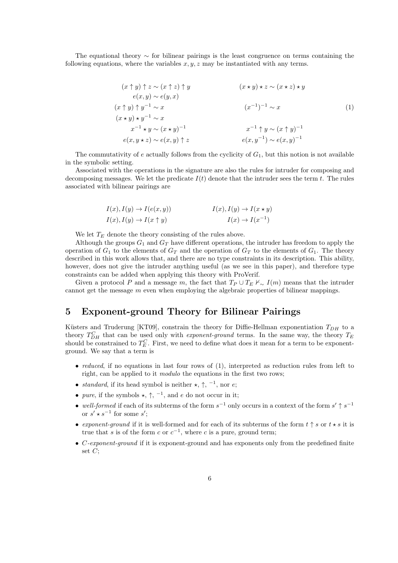The equational theory  $\sim$  for bilinear pairings is the least congruence on terms containing the following equations, where the variables  $x, y, z$  may be instantiated with any terms.

$$
(x \uparrow y) \uparrow z \sim (x \uparrow z) \uparrow y
$$
  
\n
$$
e(x, y) \sim e(y, x)
$$
  
\n
$$
(x \uparrow y) \uparrow y^{-1} \sim x
$$
  
\n
$$
(x \star y) \star y^{-1} \sim x
$$
  
\n
$$
(x \star y) \star y^{-1} \sim x
$$
  
\n
$$
x^{-1} \star y \sim (x \star y)^{-1}
$$
  
\n
$$
e(x, y \star z) \sim e(x, y) \uparrow z
$$
  
\n
$$
(x \uparrow y)^{-1}
$$
  
\n
$$
e(x, y \uparrow z) \sim e(x, y) \uparrow z
$$
  
\n
$$
(x \uparrow y) \sim (x \uparrow y)^{-1}
$$
  
\n
$$
e(x, y^{-1}) \sim e(x, y)^{-1}
$$
  
\n
$$
(x \uparrow y)^{-1}
$$

The commutativity of e actually follows from the cyclicity of  $G_1$ , but this notion is not available in the symbolic setting.

Associated with the operations in the signature are also the rules for intruder for composing and decomposing messages. We let the predicate  $I(t)$  denote that the intruder sees the term t. The rules associated with bilinear pairings are

$$
I(x), I(y) \to I(e(x, y))
$$
  
\n
$$
I(x), I(y) \to I(x \uparrow y)
$$
  
\n
$$
I(x) \to I(x \downarrow y)
$$
  
\n
$$
I(x) \to I(x^{-1})
$$

We let  $T_E$  denote the theory consisting of the rules above.

Although the groups  $G_1$  and  $G_T$  have different operations, the intruder has freedom to apply the operation of  $G_1$  to the elements of  $G_T$  and the operation of  $G_T$  to the elements of  $G_1$ . The theory described in this work allows that, and there are no type constraints in its description. This ability, however, does not give the intruder anything useful (as we see in this paper), and therefore type constraints can be added when applying this theory with ProVerif.

Given a protocol P and a message m, the fact that  $T_P \cup T_E \nvdash_{\sim} I(m)$  means that the intruder cannot get the message m even when employing the algebraic properties of bilinear mappings.

## 5 Exponent-ground Theory for Bilinear Pairings

Küsters and Truderung [KT09], constrain the theory for Diffie-Hellman exponentiation  $T_{DH}$  to a theory  $T_{DH}^C$  that can be used only with *exponent-ground* terms. In the same way, the theory  $T_E$ should be constrained to  $T_E^C$ . First, we need to define what does it mean for a term to be exponentground. We say that a term is

- reduced, if no equations in last four rows of  $(1)$ , interpreted as reduction rules from left to right, can be applied to it modulo the equations in the first two rows;
- *standard*, if its head symbol is neither  $\star$ ,  $\uparrow$ ,  $^{-1}$ , nor *e*;
- pure, if the symbols  $\star$ ,  $\uparrow$ ,  $^{-1}$ , and e do not occur in it;
- well-formed if each of its subterms of the form  $s^{-1}$  only occurs in a context of the form  $s' \uparrow s^{-1}$ or  $s' \star s^{-1}$  for some  $s'$ ;
- exponent-ground if it is well-formed and for each of its subterms of the form  $t \uparrow s$  or  $t \star s$  it is true that s is of the form c or  $c^{-1}$ , where c is a pure, ground term;
- $\bullet$  C-exponent-ground if it is exponent-ground and has exponents only from the predefined finite set  $C$ ;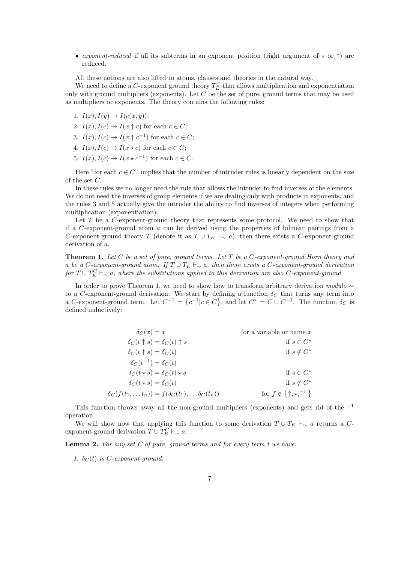• exponent-reduced if all its subterms in an exponent position (right argument of  $\star$  or  $\uparrow$ ) are reduced.

All these notions are also lifted to atoms, clauses and theories in the natural way.

We need to define a C-exponent ground theory  $T_E^C$  that allows multiplication and exponentiation only with ground multipliers (exponents). Let  $C$  be the set of pure, ground terms that may be used as multipliers or exponents. The theory contains the following rules:

- 1.  $I(x)$ ,  $I(y) \rightarrow I(e(x, y))$ ;
- 2.  $I(x), I(c) \rightarrow I(x \uparrow c)$  for each  $c \in C$ ;
- 3.  $I(x), I(c) \to I(x \uparrow c^{-1})$  for each  $c \in C$ ;
- 4.  $I(x), I(c) \rightarrow I(x \star c)$  for each  $c \in C$ ;
- 5.  $I(x), I(c) \rightarrow I(x \star c^{-1})$  for each  $c \in C$ .

Here "for each  $c \in C$ " implies that the number of intruder rules is linearly dependent on the size of the set C.

In these rules we no longer need the rule that allows the intruder to find inverses of the elements. We do not need the inverses of group elements if we are dealing only with products in exponents, and the rules 3 and 5 actually give the intruder the ability to find inverses of integers when performing multiplication (exponentiation).

Let  $T$  be a  $C$ -exponent-ground theory that represents some protocol. We need to show that if a C-exponent-ground atom a can be derived using the properties of bilinear pairings from a C-exponent-ground theory T (denote it as  $T \cup T_E \vdash_{\sim} a$ ), then there exists a C-exponent-ground derivation of a.

**Theorem 1.** Let C be a set of pure, ground terms. Let T be a C-exponent-ground Horn theory and a be a C-exponent-ground atom. If  $T \cup T_E \vdash_{\sim} a$ , then there exists a C-exponent-ground derivation  $\textit{for } T \cup T_E^C \vdash_{\sim} a, \textit{where the substitutions applied to this derivation are also } C\textit{-exponent-ground}.$ 

In order to prove Theorem 1, we need to show how to transform arbitrary derivation modulo ∼ to a C-exponent-ground derivation. We start by defining a function  $\delta_C$  that turns any term into a C-exponent-ground term. Let  $C^{-1} = \{c^{-1}|c \in C\}$ , and let  $C^* = C \cup C^{-1}$ . The function  $\delta_C$  is defined inductively:

| $\delta_C(x) = x$                                                   | for a variable or name $x$                |
|---------------------------------------------------------------------|-------------------------------------------|
| $\delta_C(t\uparrow s)=\delta_C(t)\uparrow s$                       | if $s \in C^*$                            |
| $\delta_C(t\uparrow s)=\delta_C(t)$                                 | if $s \notin C^*$                         |
| $\delta_C(t^{-1}) = \delta_C(t)$                                    |                                           |
| $\delta_C(t \star s) = \delta_C(t) \star s$                         | if $s \in C^*$                            |
| $\delta_C(t \star s) = \delta_C(t)$                                 | if $s \notin C^*$                         |
| $\delta_C(f(t_1,\ldots t_n))=f(\delta_C(t_1),\ldots \delta_C(t_n))$ | for $f \notin \{\uparrow, \star, ^{-1}\}$ |

This function throws away all the non-ground multipliers (exponents) and gets rid of the  $^{-1}$ operation.

We will show now that applying this function to some derivation  $T \cup T_E \vdash_{\sim} a$  returns a Cexponent-ground derivation  $T \cup T_E^C \vdash_{\sim} a$ .

**Lemma 2.** For any set  $C$  of pure, ground terms and for every term  $t$  we have:

1.  $\delta_C(t)$  is C-exponent-ground.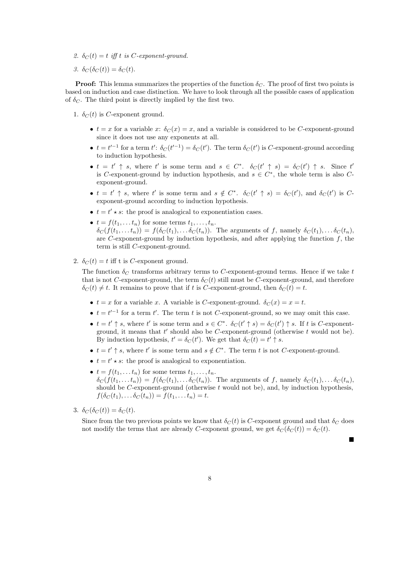2.  $\delta_C(t) = t$  iff t is C-exponent-ground.

3.  $\delta_C(\delta_C(t)) = \delta_C(t)$ .

**Proof:** This lemma summarizes the properties of the function  $\delta_C$ . The proof of first two points is based on induction and case distinction. We have to look through all the possible cases of application of  $\delta_C$ . The third point is directly implied by the first two.

- 1.  $\delta_C(t)$  is C-exponent ground.
	- $t = x$  for a variable  $x: \delta_C(x) = x$ , and a variable is considered to be C-exponent-ground since it does not use any exponents at all.
	- $t = t^{-1}$  for a term  $t'$ :  $\delta_C(t^{-1}) = \delta_C(t')$ . The term  $\delta_C(t')$  is C-exponent-ground according to induction hypothesis.
	- $t = t' \uparrow s$ , where t' is some term and  $s \in C^*$ .  $\delta_C(t' \uparrow s) = \delta_C(t') \uparrow s$ . Since t' is C-exponent-ground by induction hypothesis, and  $s \in C^*$ , the whole term is also Cexponent-ground.
	- $t = t' \uparrow s$ , where t' is some term and  $s \notin C^*$ .  $\delta_C(t' \uparrow s) = \delta_C(t')$ , and  $\delta_C(t')$  is Cexponent-ground according to induction hypothesis.
	- $t = t' \star s$ : the proof is analogical to exponentiation cases.
	- $t = f(t_1, \ldots, t_n)$  for some terms  $t_1, \ldots, t_n$ .  $\delta_C(f(t_1,\ldots t_n)) = f(\delta_C(t_1),\ldots \delta_C(t_n)).$  The arguments of f, namely  $\delta_C(t_1),\ldots \delta_C(t_n),$ are C-exponent-ground by induction hypothesis, and after applying the function  $f$ , the term is still C-exponent-ground.
- 2.  $\delta_C(t) = t$  iff t is C-exponent ground.

The function  $\delta_C$  transforms arbitrary terms to C-exponent-ground terms. Hence if we take t that is not C-exponent-ground, the term  $\delta_C(t)$  still must be C-exponent-ground, and therefore  $\delta_C(t) \neq t$ . It remains to prove that if t is C-exponent-ground, then  $\delta_C(t) = t$ .

- $t = x$  for a variable x. A variable is C-exponent-ground.  $\delta_C(x) = x = t$ .
- $t = t^{-1}$  for a term t'. The term t is not C-exponent-ground, so we may omit this case.
- $t = t' \uparrow s$ , where t' is some term and  $s \in C^*$ .  $\delta_C(t' \uparrow s) = \delta_C(t') \uparrow s$ . If t is C-exponentground, it means that  $t'$  should also be C-exponent-ground (otherwise  $t$  would not be). By induction hypothesis,  $t' = \delta_C(t')$ . We get that  $\delta_C(t) = t' \uparrow s$ .
- $t = t' \uparrow s$ , where t' is some term and  $s \notin C^*$ . The term t is not C-exponent-ground.
- $t = t' \star s$ : the proof is analogical to exponentiation.
- $t = f(t_1, \ldots, t_n)$  for some terms  $t_1, \ldots, t_n$ .  $\delta_C(f(t_1,...,t_n)) = f(\delta_C(t_1),...,\delta_C(t_n)).$  The arguments of f, namely  $\delta_C(t_1),...,\delta_C(t_n),$ should be  $C$ -exponent-ground (otherwise  $t$  would not be), and, by induction hypothesis,  $f(\delta_C(t_1), \ldots \delta_C(t_n)) = f(t_1, \ldots t_n) = t.$
- 3.  $\delta_C(\delta_C(t)) = \delta_C(t)$ .

Since from the two previous points we know that  $\delta_C(t)$  is C-exponent ground and that  $\delta_C$  does not modify the terms that are already C-exponent ground, we get  $\delta_C(\delta_C(t)) = \delta_C(t)$ .

 $\blacksquare$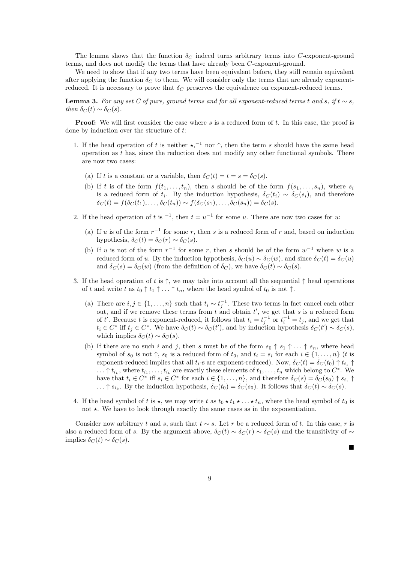The lemma shows that the function  $\delta_C$  indeed turns arbitrary terms into C-exponent-ground terms, and does not modify the terms that have already been C-exponent-ground.

We need to show that if any two terms have been equivalent before, they still remain equivalent after applying the function  $\delta_C$  to them. We will consider only the terms that are already exponentreduced. It is necessary to prove that  $\delta_C$  preserves the equivalence on exponent-reduced terms.

**Lemma 3.** For any set C of pure, ground terms and for all exponent-reduced terms t and s, if  $t \sim s$ , then  $\delta_C(t) \sim \delta_C(s)$ .

**Proof:** We will first consider the case where  $s$  is a reduced form of  $t$ . In this case, the proof is done by induction over the structure of t:

- 1. If the head operation of t is neither  $\star$ ,<sup>-1</sup> nor  $\uparrow$ , then the term s should have the same head operation as  $t$  has, since the reduction does not modify any other functional symbols. There are now two cases:
	- (a) If t is a constant or a variable, then  $\delta_C(t) = t = s = \delta_C(s)$ .
	- (b) If t is of the form  $f(t_1, \ldots, t_n)$ , then s should be of the form  $f(s_1, \ldots, s_n)$ , where  $s_i$ is a reduced form of  $t_i$ . By the induction hypothesis,  $\delta_C(t_i) \sim \delta_C(s_i)$ , and therefore  $\delta_C(t) = f(\delta_C(t_1), \ldots, \delta_C(t_n)) \sim f(\delta_C(s_1), \ldots, \delta_C(s_n)) = \delta_C(s).$
- 2. If the head operation of t is  $^{-1}$ , then  $t = u^{-1}$  for some u. There are now two cases for u.
	- (a) If u is of the form  $r^{-1}$  for some r, then s is a reduced form of r and, based on induction hypothesis,  $\delta_C(t) = \delta_C(r) \sim \delta_C(s)$ .
	- (b) If u is not of the form  $r^{-1}$  for some r, then s should be of the form  $w^{-1}$  where w is a reduced form of u. By the induction hypothesis,  $\delta_C(u) \sim \delta_C(w)$ , and since  $\delta_C(t) = \delta_C(u)$ and  $\delta_C(s) = \delta_C(w)$  (from the definition of  $\delta_C$ ), we have  $\delta_C(t) \sim \delta_C(s)$ .
- 3. If the head operation of t is  $\uparrow$ , we may take into account all the sequential  $\uparrow$  head operations of t and write t as  $t_0 \uparrow t_1 \uparrow \ldots \uparrow t_n$ , where the head symbol of  $t_0$  is not  $\uparrow$ .
	- (a) There are  $i, j \in \{1, \ldots, n\}$  such that  $t_i \sim t_j^{-1}$ . These two terms in fact cancel each other out, and if we remove these terms from  $t$  and obtain  $t'$ , we get that  $s$  is a reduced form of t'. Because t is exponent-reduced, it follows that  $t_i = t_i^{-1}$  or  $t_i^{-1} = t_j$ , and we get that  $t_i \in C^*$  iff  $t_j \in C^*$ . We have  $\delta_C(t) \sim \delta_C(t')$ , and by induction hypothesis  $\delta_C(t') \sim \delta_C(s)$ , which implies  $\delta_C(t) \sim \delta_C(s)$ .
	- (b) If there are no such i and j, then s must be of the form  $s_0 \uparrow s_1 \uparrow \ldots \uparrow s_n$ , where head symbol of  $s_0$  is not  $\uparrow$ ,  $s_0$  is a reduced form of  $t_0$ , and  $t_i = s_i$  for each  $i \in \{1, \ldots, n\}$  (t is exponent-reduced implies that all  $t_i$ -s are exponent-reduced). Now,  $\delta_C(t) = \delta_C(t_0) \uparrow t_{i_1} \uparrow$  $\dots \uparrow t_{i_k}$ , where  $t_{i_1}, \dots, t_{i_k}$  are exactly these elements of  $t_1, \dots, t_n$  which belong to  $C^*$ . We have that  $t_i \in C^*$  iff  $s_i \in C^*$  for each  $i \in \{1, ..., n\}$ , and therefore  $\delta_C(s) = \delta_C(s_0) \uparrow s_{i_1} \uparrow$ ... ↑  $s_{i_k}$ . By the induction hypothesis,  $\delta_C(t_0) = \delta_C(s_0)$ . It follows that  $\delta_C(t) \sim \delta_C(s)$ .
- 4. If the head symbol of t is  $\star$ , we may write t as  $t_0 \star t_1 \star \ldots \star t_n$ , where the head symbol of  $t_0$  is not  $\star$ . We have to look through exactly the same cases as in the exponentiation.

Consider now arbitrary t and s, such that  $t \sim s$ . Let r be a reduced form of t. In this case, r is also a reduced form of s. By the argument above,  $\delta_C(t) \sim \delta_C(r) \sim \delta_C(s)$  and the transitivity of ~ implies  $\delta_C(t) \sim \delta_C(s)$ .

■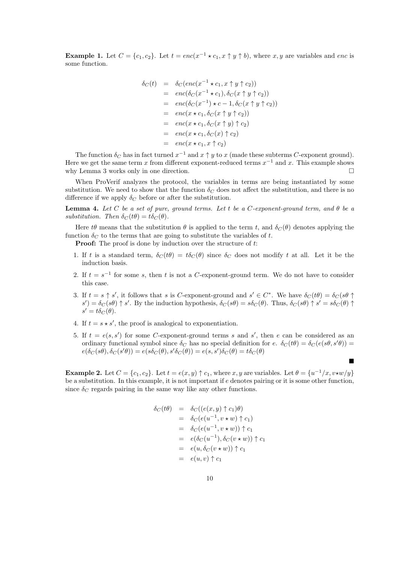**Example 1.** Let  $C = \{c_1, c_2\}$ . Let  $t = enc(x^{-1} \star c_1, x \uparrow y \uparrow b)$ , where  $x, y$  are variables and enc is some function.

$$
\delta_C(t) = \delta_C(enc(x^{-1} \star c_1, x \uparrow y \uparrow c_2))
$$
  
\n
$$
= enc(\delta_C(x^{-1} \star c_1), \delta_C(x \uparrow y \uparrow c_2))
$$
  
\n
$$
= enc(\delta_C(x^{-1}) \star c - 1, \delta_C(x \uparrow y \uparrow c_2))
$$
  
\n
$$
= enc(x \star c_1, \delta_C(x \uparrow y \uparrow c_2))
$$
  
\n
$$
= enc(x \star c_1, \delta_C(x \uparrow y) \uparrow c_2)
$$
  
\n
$$
= enc(x \star c_1, \delta_C(x) \uparrow c_2)
$$
  
\n
$$
= enc(x \star c_1, x \uparrow c_2)
$$

The function  $\delta_C$  has in fact turned  $x^{-1}$  and  $x \uparrow y$  to  $x$  (made these subterms C-exponent ground). Here we get the same term x from different exponent-reduced terms  $x^{-1}$  and x. This example shows why Lemma 3 works only in one direction.  $\hfill \square$ 

When ProVerif analyzes the protocol, the variables in terms are being instantiated by some substitution. We need to show that the function  $\delta_C$  does not affect the substitution, and there is no difference if we apply  $\delta_C$  before or after the substitution.

**Lemma 4.** Let C be a set of pure, ground terms. Let t be a C-exponent-ground term, and  $\theta$  be a substitution. Then  $\delta_C(t\theta) = t\delta_C(\theta)$ .

Here tθ means that the substitution  $\theta$  is applied to the term t, and  $\delta_C(\theta)$  denotes applying the function  $\delta_C$  to the terms that are going to substitute the variables of t.

**Proof:** The proof is done by induction over the structure of t:

- 1. If t is a standard term,  $\delta_C(t\theta) = t\delta_C(\theta)$  since  $\delta_C$  does not modify t at all. Let it be the induction basis.
- 2. If  $t = s^{-1}$  for some s, then t is not a C-exponent-ground term. We do not have to consider this case.
- 3. If  $t = s \uparrow s'$ , it follows that s is C-exponent-ground and  $s' \in C^*$ . We have  $\delta_C(t\theta) = \delta_C(s\theta)$  $s' = \delta_C(s\theta) \uparrow s'.$  By the induction hypothesis,  $\delta_C(s\theta) = s\delta_C(\theta)$ . Thus,  $\delta_C(s\theta) \uparrow s' = s\delta_C(\theta) \uparrow s'.$  $s' = t\delta_C(\theta).$
- 4. If  $t = s * s'$ , the proof is analogical to exponentiation.
- 5. If  $t = e(s, s')$  for some C-exponent-ground terms s and s', then e can be considered as an ordinary functional symbol since  $\delta_C$  has no special definition for e.  $\delta_C(t\theta) = \delta_C(e(s\theta, s'\theta))$  $e(\delta_C(s\theta), \delta_C(s'\theta)) = e(s\delta_C(\theta), s'\delta_C(\theta)) = e(s, s')\delta_C(\theta) = t\delta_C(\theta)$

 $\blacksquare$ 

**Example 2.** Let  $C = \{c_1, c_2\}$ . Let  $t = e(x, y) \uparrow c_1$ , where  $x, y$  are variables. Let  $\theta = \{u^{-1}/x, v \star w/y\}$ be a substitution. In this example, it is not important if e denotes pairing or it is some other function, since  $\delta_C$  regards pairing in the same way like any other functions.

$$
\delta_C(t\theta) = \delta_C((e(x, y) \uparrow c_1)\theta)
$$
  
\n
$$
= \delta_C(e(u^{-1}, v \star w) \uparrow c_1)
$$
  
\n
$$
= \delta_C(e(u^{-1}, v \star w)) \uparrow c_1
$$
  
\n
$$
= e(\delta_C(u^{-1}), \delta_C(v \star w)) \uparrow c_1
$$
  
\n
$$
= e(u, \delta_C(v \star w)) \uparrow c_1
$$
  
\n
$$
= e(u, v) \uparrow c_1
$$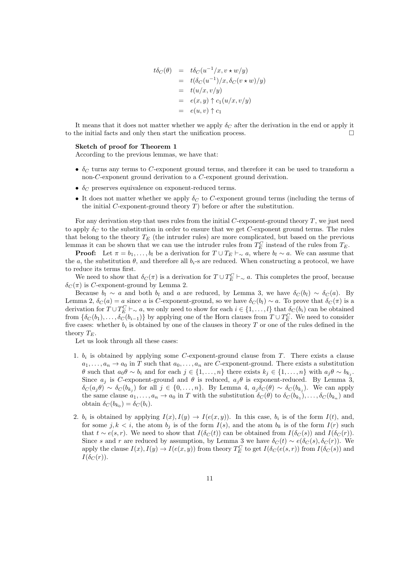$$
t\delta_C(\theta) = t\delta_C(u^{-1}/x, v \star w/y)
$$
  
=  $t(\delta_C(u^{-1})/x, \delta_C(v \star w)/y)$   
=  $t(u/x, v/y)$   
=  $e(x, y) \uparrow c_1(u/x, v/y)$   
=  $e(u, v) \uparrow c_1$ 

It means that it does not matter whether we apply  $\delta_C$  after the derivation in the end or apply it to the initial facts and only then start the unification process.

#### Sketch of proof for Theorem 1

According to the previous lemmas, we have that:

- $\delta_C$  turns any terms to C-exponent ground terms, and therefore it can be used to transform a non-C-exponent ground derivation to a C-exponent ground derivation.
- $\delta_C$  preserves equivalence on exponent-reduced terms.
- It does not matter whether we apply  $\delta_C$  to C-exponent ground terms (including the terms of the initial C-exponent-ground theory  $T$ ) before or after the substitution.

For any derivation step that uses rules from the initial  $C$ -exponent-ground theory  $T$ , we just need to apply  $\delta_C$  to the substitution in order to ensure that we get C-exponent ground terms. The rules that belong to the theory  $T_E$  (the intruder rules) are more complicated, but based on the previous lemmas it can be shown that we can use the intruder rules from  $T_E^C$  instead of the rules from  $T_E$ .

**Proof:** Let  $\pi = b_1, \ldots, b_l$  be a derivation for  $T \cup T_E \vdash_{\sim} a$ , where  $b_l \sim a$ . We can assume that the a, the substitution  $\theta$ , and therefore all  $b_i$ -s are reduced. When constructing a protocol, we have to reduce its terms first.

We need to show that  $\delta_C(\pi)$  is a derivation for  $T \cup T_E^C \vdash_{\sim} a$ . This completes the proof, because  $\delta_C(\pi)$  is C-exponent-ground by Lemma 2.

Because  $b_l \sim a$  and both  $b_l$  and a are reduced, by Lemma 3, we have  $\delta_C(b_l) \sim \delta_C(a)$ . By Lemma 2,  $\delta_C(a) = a$  since a is C-exponent-ground, so we have  $\delta_C(b_l) \sim a$ . To prove that  $\delta_C(\pi)$  is a derivation for  $T \cup T_E^C \vdash_\sim a$ , we only need to show for each  $i \in \{1, \ldots, l\}$  that  $\delta_C(b_i)$  can be obtained from  $\{\delta_C(b_1), \ldots, \delta_C(b_{i-1})\}$  by applying one of the Horn clauses from  $T \cup T_E^C$ . We need to consider five cases: whether  $b_i$  is obtained by one of the clauses in theory T or one of the rules defined in the theory  $T_E$ .

Let us look through all these cases:

- 1.  $b_i$  is obtained by applying some C-exponent-ground clause from T. There exists a clause  $a_1, \ldots, a_n \to a_0$  in T such that  $a_0, \ldots, a_n$  are C-exponent-ground. There exists a substitution θ such that  $a_0$ θ ∼  $b_i$  and for each  $j \in \{1, ..., n\}$  there exists  $k_j \in \{1, ..., n\}$  with  $a_j$ θ ∼  $b_{k_j}$ . Since  $a_j$  is C-exponent-ground and  $\theta$  is reduced,  $a_j \theta$  is exponent-reduced. By Lemma 3,  $\delta_C(a_j\theta) \sim \delta_C(b_{k_j})$  for all  $j \in \{0,\ldots,n\}$ . By Lemma 4,  $a_j\delta_C(\theta) \sim \delta_C(b_{k_j})$ . We can apply the same clause  $a_1, \ldots, a_n \to a_0$  in T with the substitution  $\delta_C(\theta)$  to  $\delta_C(b_{k_1}), \ldots, \delta_C(b_{k_n})$  and obtain  $\delta_C(b_{k_0}) = \delta_C(b_i)$ .
- 2.  $b_i$  is obtained by applying  $I(x)$ ,  $I(y) \to I(e(x, y))$ . In this case,  $b_i$  is of the form  $I(t)$ , and, for some  $j, k < i$ , the atom  $b_j$  is of the form  $I(s)$ , and the atom  $b_k$  is of the form  $I(r)$  such that  $t \sim e(s,r)$ . We need to show that  $I(\delta_C(t))$  can be obtained from  $I(\delta_C(s))$  and  $I(\delta_C(r))$ . Since s and r are reduced by assumption, by Lemma 3 we have  $\delta_C(t) \sim e(\delta_C(s), \delta_C(r))$ . We apply the clause  $I(x)$ ,  $I(y) \to I(e(x, y))$  from theory  $T_E^C$  to get  $I(\delta_C(e(s, r))$  from  $I(\delta_C(s))$  and  $I(\delta_C(r))$ .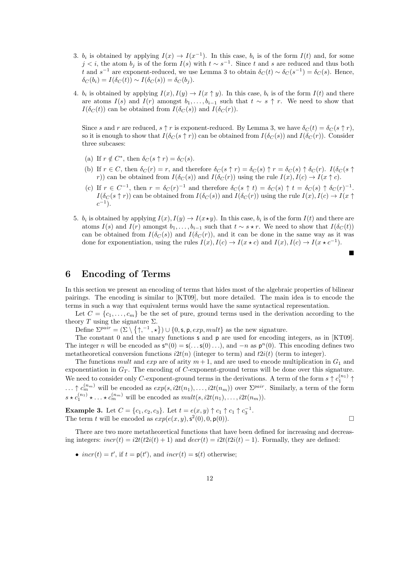- 3.  $b_i$  is obtained by applying  $I(x) \to I(x^{-1})$ . In this case,  $b_i$  is of the form  $I(t)$  and, for some  $j < i$ , the atom  $b_j$  is of the form  $I(s)$  with  $t \sim s^{-1}$ . Since t and s are reduced and thus both t and s<sup>-1</sup> are exponent-reduced, we use Lemma 3 to obtain  $\delta_C(t) \sim \delta_C(s^{-1}) = \delta_C(s)$ . Hence,  $\delta_C(b_i) = I(\delta_C(t)) \sim I(\delta_C(s)) = \delta_C(b_i).$
- 4.  $b_i$  is obtained by applying  $I(x)$ ,  $I(y) \to I(x \uparrow y)$ . In this case,  $b_i$  is of the form  $I(t)$  and there are atoms  $I(s)$  and  $I(r)$  amongst  $b_1, \ldots, b_{i-1}$  such that  $t \sim s \uparrow r$ . We need to show that  $I(\delta_C(t))$  can be obtained from  $I(\delta_C(s))$  and  $I(\delta_C(r))$ .

Since s and r are reduced, s  $\uparrow$  r is exponent-reduced. By Lemma 3, we have  $\delta_C(t) = \delta_C(s \uparrow r)$ , so it is enough to show that  $I(\delta_C(s\uparrow r))$  can be obtained from  $I(\delta_C(s))$  and  $I(\delta_C(r))$ . Consider three subcases:

- (a) If  $r \notin C^*$ , then  $\delta_C(s \uparrow r) = \delta_C(s)$ .
- (b) If  $r \in C$ , then  $\delta_C(r) = r$ , and therefore  $\delta_C(s \uparrow r) = \delta_C(s) \uparrow r = \delta_C(s) \uparrow \delta_C(r)$ .  $I(\delta_C(s \uparrow r))$ r)) can be obtained from  $I(\delta_C(s))$  and  $I(\delta_C(r))$  using the rule  $I(x), I(c) \to I(x \uparrow c)$ .
- (c) If  $r \in C^{-1}$ , then  $r = \delta_C(r)^{-1}$  and therefore  $\delta_C(s \uparrow t) = \delta_C(s) \uparrow t = \delta_C(s) \uparrow \delta_C(r)^{-1}$ .  $I(\delta_C(s\uparrow r))$  can be obtained from  $I(\delta_C(s))$  and  $I(\delta_C(r))$  using the rule  $I(x), I(c) \to I(x\uparrow c)$  $c^{-1}$ ).
- 5.  $b_i$  is obtained by applying  $I(x)$ ,  $I(y) \to I(x \star y)$ . In this case,  $b_i$  is of the form  $I(t)$  and there are atoms I(s) and I(r) amongst  $b_1, \ldots, b_{i-1}$  such that  $t \sim s \star r$ . We need to show that  $I(\delta_C(t))$ can be obtained from  $I(\delta_C(s))$  and  $I(\delta_C(r))$ , and it can be done in the same way as it was done for exponentiation, using the rules  $I(x)$ ,  $I(c) \to I(x \star c)$  and  $I(x)$ ,  $I(c) \to I(x \star c^{-1})$ .

 $\blacksquare$ 

## 6 Encoding of Terms

In this section we present an encoding of terms that hides most of the algebraic properties of bilinear pairings. The encoding is similar to [KT09], but more detailed. The main idea is to encode the terms in such a way that equivalent terms would have the same syntactical representation.

Let  $C = \{c_1, \ldots, c_m\}$  be the set of pure, ground terms used in the derivation according to the theory T using the signature  $\Sigma$ .

Define  $\Sigma^{pair} = (\Sigma \setminus \{\uparrow, ^{-1}, \star\}) \cup \{0, \mathsf{s}, \mathsf{p}, \text{exp}, \text{mult}\}\$ as the new signature.

The constant 0 and the unary functions s and p are used for encoding integers, as in [KT09]. The integer n will be encoded as  $s^{n}(0) = s(...s(0)...),$  and  $-n$  as  $p^{n}(0)$ . This encoding defines two metatheoretical conversion functions  $i2t(n)$  (integer to term) and  $t2i(t)$  (term to integer).

The functions mult and  $exp$  are of arity  $m + 1$ , and are used to encode multiplication in  $G_1$  and exponentiation in  $G_T$ . The encoding of C-exponent-ground terms will be done over this signature. We need to consider only C-exponent-ground terms in the derivations. A term of the form  $s \uparrow c_1^{(n_1)} \uparrow$  $\ldots \uparrow c_m^{(n_m)}$  will be encoded as  $exp(s, i2t(n_1), \ldots, i2t(n_m))$  over  $\Sigma^{pair}$ . Similarly, a term of the form  $s \star c_1^{(n_1)} \star \ldots \star c_m^{(n_m)}$  will be encoded as  $mult(s, i2t(n_1), \ldots, i2t(n_m)).$ 

**Example 3.** Let  $C = \{c_1, c_2, c_3\}$ . Let  $t = e(x, y) \uparrow c_1 \uparrow c_1 \uparrow c_3^{-1}$ . The term t will be encoded as  $exp(e(x, y), s^2(0), 0, p(0))$ .

There are two more metatheoretical functions that have been defined for increasing and decreasing integers:  $inc(t) = i2t(t2i(t) + 1)$  and  $decr(t) = i2t(t2i(t) - 1)$ . Formally, they are defined:

•  $incr(t) = t'$ , if  $t = p(t')$ , and  $incr(t) = s(t)$  otherwise;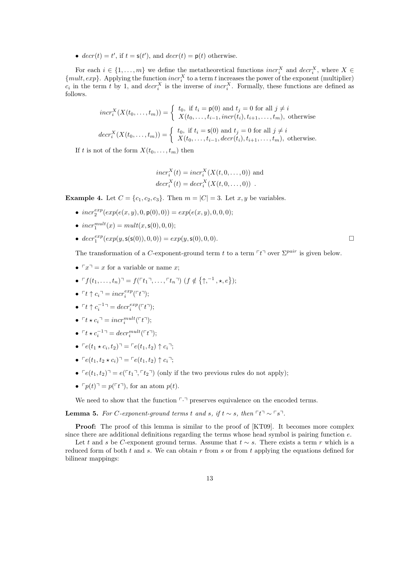•  $decr(t) = t'$ , if  $t = s(t')$ , and  $decr(t) = p(t)$  otherwise.

For each  $i \in \{1, \ldots, m\}$  we define the metatheoretical functions  $inc_i^X$  and  $dec_i^X$ , where  $X \in$  $\{mult, exp\}$ . Applying the function  $incr_i^X$  to a term t increases the power of the exponent (multiplier)  $c_i$  in the term t by 1, and  $decr_i^X$  is the inverse of  $incr_i^X$ . Formally, these functions are defined as follows.

$$
incr_i^X(X(t_0, ..., t_m)) = \begin{cases} t_0, \text{ if } t_i = \mathsf{p}(0) \text{ and } t_j = 0 \text{ for all } j \neq i \\ X(t_0, ..., t_{i-1}, incr(t_i), t_{i+1}, ..., t_m), \text{ otherwise} \end{cases}
$$
  

$$
decr_i^X(X(t_0, ..., t_m)) = \begin{cases} t_0, \text{ if } t_i = \mathsf{s}(0) \text{ and } t_j = 0 \text{ for all } j \neq i \\ X(t_0, ..., t_{i-1}, decr(t_i), t_{i+1}, ..., t_m), \text{ otherwise.} \end{cases}
$$

If t is not of the form  $X(t_0, \ldots, t_m)$  then

$$
incr_i^X(t) = incr_i^X(X(t, 0, ..., 0))
$$
 and  
 $decr_i^X(t) = decr_i^X(X(t, 0, ..., 0))$ .

**Example 4.** Let  $C = \{c_1, c_2, c_3\}$ . Then  $m = |C| = 3$ . Let  $x, y$  be variables.

- $incr_2^{exp}(exp(e(x, y), 0, p(0), 0)) = exp(e(x, y), 0, 0, 0);$
- $incr_1^{mult}(x) = mult(x, s(0), 0, 0);$
- $dec_1^{exp}(exp(y, s(s(0)), 0, 0)) = exp(y, s(0), 0, 0).$

The transformation of a C-exponent-ground term t to a term  $\lceil t \rceil$  over  $\Sigma^{pair}$  is given below.

- $x = x$  for a variable or name x;
- $\ulcorner f(t_1, \ldots, t_n) \urcorner = f(\ulcorner t_1 \urcorner, \ldots, \ulcorner t_n \urcorner) \ (f \notin \{\uparrow, \ulcorner^1, \star, e\});$
- $\ulcorner t \uparrow c_i \urcorner = incr_i^{exp}(\ulcorner t \urcorner);$
- $\ulcorner t \uparrow c_i^{-1} \urcorner = decr_i^{exp}(\ulcorner t \urcorner);$
- $\ulcorner t \star c_i \urcorner = incr_i^{mult}(\ulcorner t \urcorner);$
- $\ulcorner t \star c_i^{-1} \urcorner = decr_i^{mult}(\ulcorner t \urcorner);$
- $\ulcorner e(t_1 \star c_i, t_2) \urcorner = \ulcorner e(t_1, t_2) \uparrow c_i \urcorner;$
- $\ulcorner e(t_1, t_2 \star c_i) \urcorner = \ulcorner e(t_1, t_2) \uparrow c_i \urcorner;$
- $[e(t_1, t_2)$ <sup> $\top$ </sup> =  $e(\ulcorner t_1 \urcorner, \ulcorner t_2 \urcorner)$  (only if the two previous rules do not apply);
- $[p(t)] = p(T_t)$ , for an atom  $p(t)$ .

We need to show that the function  $\ulcorner\cdot\urcorner$  preserves equivalence on the encoded terms.

**Lemma 5.** For C-exponent-ground terms t and s, if  $t \sim s$ , then  $\lceil t \rceil \sim \lceil s \rceil$ .

**Proof:** The proof of this lemma is similar to the proof of [KT09]. It becomes more complex since there are additional definitions regarding the terms whose head symbol is pairing function  $e$ .

Let t and s be C-exponent ground terms. Assume that  $t \sim s$ . There exists a term r which is a reduced form of both  $t$  and  $s$ . We can obtain  $r$  from  $s$  or from  $t$  applying the equations defined for bilinear mappings: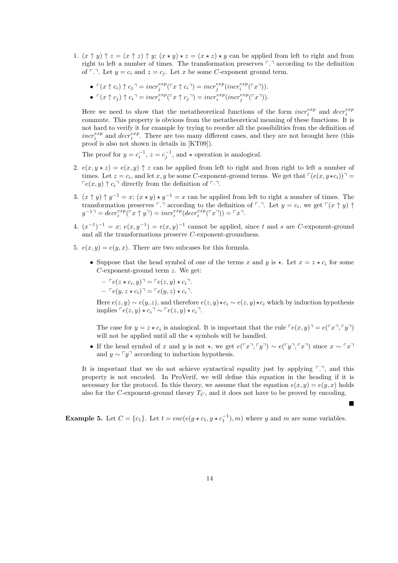- 1.  $(x \uparrow y) \uparrow z = (x \uparrow z) \uparrow y$ ;  $(x \star y) \star z = (x \star z) \star y$  can be applied from left to right and from right to left a number of times. The transformation preserves  $\lceil \cdot \rceil$  according to the definition of  $\ulcorner \urcorner$ . Let  $y = c_i$  and  $z = c_j$ . Let x be some C-exponent ground term.
	- $\ulcorner (x \uparrow c_i) \uparrow c_j \urcorner = incr_j^{exp}(\ulcorner x \uparrow c_i \urcorner) = incr_j^{exp}(incr_i^{exp}(\ulcorner x \urcorner)).$
	- $\ulcorner (x \uparrow c_j) \uparrow c_i \urcorner = incr_i^{exp}(\ulcorner x \uparrow c_j \urcorner) = incr_i^{exp}(incr_j^{exp}(\ulcorner x \urcorner)).$

Here we need to show that the metatheoretical functions of the form  $incr_i^{exp}$  and  $decr_i^{exp}$ commute. This property is obvious from the metatheoretical meaning of these functions. It is not hard to verify it for example by trying to reorder all the possibilities from the definition of  $incr_i^{exp}$  and  $decr_i^{exp}$ . There are too many different cases, and they are not brought here (this proof is also not shown in details in [KT09]).

The proof for  $y = c_i^{-1}$ ,  $z = c_j^{-1}$ , and  $\star$  operation is analogical.

- 2.  $e(x, y \star z) = e(x, y) \uparrow z$  can be applied from left to right and from right to left a number of times. Let  $z = c_i$ , and let  $x, y$  be some C-exponent-ground terms. We get that  $\ulcorner (e(x, y \star c_i)) \urcorner$  $\negthinspace \ulcorner e(x, y) \uparrow c_i \urcorner$  directly from the definition of  $\ulcorner \urcorner \urcorner$ .
- 3.  $(x \uparrow y) \uparrow y^{-1} = x$ ;  $(x \star y) \star y^{-1} = x$  can be applied from left to right a number of times. The transformation preserves  $\ulcorner \urcorner$  according to the definition of  $\ulcorner \urcorner$ . Let  $y = c_i$ , we get  $\ulcorner (x \uparrow y) \uparrow$  $y^{-1} = \operatorname{dec}r_i^{\exp}(\ulcorner x \uparrow y \urcorner) = \operatorname{inc}r_i^{\exp}(\operatorname{dec}r_i^{\exp}(\ulcorner x \urcorner)) = \ulcorner x \urcorner.$
- 4.  $(x^{-1})^{-1} = x$ ;  $e(x, y^{-1}) = e(x, y)^{-1}$  cannot be applied, since t and s are C-exponent-ground and all the transformations preserve C-exponent-groundness.
- 5.  $e(x, y) = e(y, x)$ . There are two subcases for this formula.
	- Suppose that the head symbol of one of the terms x and y is  $\star$ . Let  $x = z \star c_i$  for some C-exponent-ground term z. We get:

$$
- \Gamma e(z \star c_i, y) = \Gamma e(z, y) \star c_i.
$$
  
- 
$$
\Gamma e(y, z \star c_i) = \Gamma e(y, z) \star c_i.
$$

Here  $e(z, y) \sim e(y, z)$ , and therefore  $e(z, y) \star c_i \sim e(z, y) \star c_i$  which by induction hypothesis implies  $\ulcorner e(z, y) \star c_i \urcorner \sim \ulcorner e(z, y) \star c_i \urcorner$ .

The case for  $y = z \star c_i$  is analogical. It is important that the rule  $\lceil e(x, y) \rceil = e(\lceil x \rceil, \lceil y \rceil)$ will not be applied until all the  $\star$  symbols will be handled.

• If the head symbol of x and y is not  $\star$ , we get  $e(\ulcorner x \urcorner, \ulcorner y \urcorner) \sim e(\ulcorner y \urcorner, \ulcorner x \urcorner)$  since  $x \sim \ulcorner x \urcorner$ and  $y \sim \lceil y \rceil$  according to induction hypothesis.

It is important that we do not achieve syntactical equality just by applying  $\ulcorner \urcorner \urcorner$ , and this property is not encoded. In ProVerif, we will define this equation in the heading if it is necessary for the protocol. In this theory, we assume that the equation  $e(x, y) = e(y, x)$  holds also for the C-exponent-ground theory  $T_C$ , and it does not have to be proved by encoding.

 $\blacksquare$ 

**Example 5.** Let  $C = \{c_1\}$ . Let  $t = enc(e(g \star c_1, g \star c_1^{-1}), m)$  where g and m are some variables.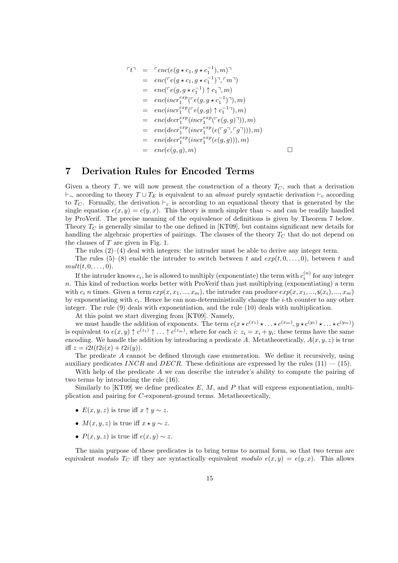$$
Ft^{\top} = \text{F}enc(e(g \star c_1, g \star c_1^{-1}), m)^{\top} \n= enc(\text{F}e(g \star c_1, g \star c_1^{-1})^{\top}, \text{F}m^{\top}) \n= enc(\text{F}e(g, g \star c_1^{-1}) \uparrow c_1^{\top}, m) \n= enc(incr_1^{exp}(\text{F}e(g, g \star c_1^{-1})^{\top}), m) \n= enc(incr_1^{exp}(\text{F}e(g, g) \uparrow c_1^{-1^{\top}}), m) \n= enc(decr_1^{exp}(incr_1^{exp}(e(g, g)^{\top})), m) \n= enc(decr_1^{exp}(incr_1^{exp}(e(\text{F}g^{\top}, \text{F}g^{\top}))), m) \n= enc(decr_1^{exp}(incr_1^{exp}(e(g, g))), m) \n= enc(e(g, g), m) \qquad \Box
$$

## 7 Derivation Rules for Encoded Terms

Given a theory T, we will now present the construction of a theory  $T<sub>C</sub>$ , such that a derivation  $\vdash_{\sim}$  according to theory  $T \cup T_E$  is equivalent to an *almost* purely syntactic derivation  $\vdash_c$  according to  $T_c$ . Formally, the derivation  $\vdash_c$  is according to an equational theory that is generated by the single equation  $e(x, y) = e(y, x)$ . This theory is much simpler than  $\sim$  and can be readily handled by ProVerif. The precise meaning of the equivalence of definitions is given by Theorem 7 below. Theory  $T_{\text{C}}$  is generally similar to the one defined in [KT09], but contains significant new details for handling the algebraic properties of pairings. The clauses of the theory  $T_C$  that do not depend on the clauses of  $T$  are given in Fig. 1.

The rules  $(2)$ – $(4)$  deal with integers: the intruder must be able to derive any integer term.

The rules  $(5)-(8)$  enable the intruder to switch between t and  $exp(t, 0, \ldots, 0)$ , between t and  $mult(t, 0, \ldots, 0).$ 

If the intruder knows  $c_i$ , he is allowed to multiply (exponentiate) the term with  $c_i^{(n)}$  for any integer  $n$ . This kind of reduction works better with ProVerif than just multiplying (exponentiating) a term with  $c_i$  n times. Given a term  $exp(x, x_1, ..., x_m)$ , the intruder can produce  $exp(x, x_1, ..., s(x_i), ..., x_m)$ by exponentiating with  $c_i$ . Hence he can non-deterministically change the *i*-th counter to any other integer. The rule (9) deals with exponentiation, and the rule (10) deals with multiplication.

At this point we start diverging from [KT09]. Namely,

we must handle the addition of exponents. The term  $e(x \star c^{(x_1)} \star \ldots \star c^{(x_m)}, y \star c^{(y_1)} \star \ldots \star c^{(y_m)})$ is equivalent to  $e(x, y) \uparrow c^{(z_1)} \uparrow \ldots \uparrow c^{(z_m)}$ , where for each i:  $z_i = x_i + y_i$ ; these terms have the same encoding. We handle the addition by introducing a predicate A. Metatheoretically,  $A(x, y, z)$  is true iff  $z = i2t(t2i(x) + t2i(y))$ .

The predicate A cannot be defined through case enumeration. We define it recursively, using auxiliary predicates INCR and DECR. These definitions are expressed by the rules  $(11) - (15)$ .

With help of the predicate  $A$  we can describe the intruder's ability to compute the pairing of two terms by introducing the rule (16).

Similarly to [KT09] we define predicates  $E, M$ , and P that will express exponentiation, multiplication and pairing for C-exponent-ground terms. Metatheoretically,

- $E(x, y, z)$  is true iff  $x \uparrow y \sim z$ .
- $M(x, y, z)$  is true iff  $x \star y \sim z$ .
- $P(x, y, z)$  is true iff  $e(x, y) \sim z$ .

The main purpose of these predicates is to bring terms to normal form, so that two terms are equivalent modulo  $T_C$  iff they are syntactically equivalent modulo  $e(x, y) = e(y, x)$ . This allows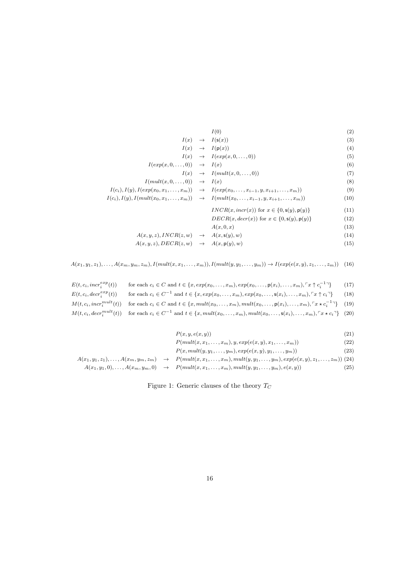|                                                    | I(0)                                                                                                              | (2)  |
|----------------------------------------------------|-------------------------------------------------------------------------------------------------------------------|------|
|                                                    | $I(x) \rightarrow I(\mathsf{s}(x))$                                                                               | (3)  |
|                                                    | $I(x) \rightarrow I(p(x))$                                                                                        | (4)  |
|                                                    | $I(x) \rightarrow I(exp(x,0,\ldots,0))$                                                                           | (5)  |
| $I(exp(x, 0, \ldots, 0)) \rightarrow I(x)$         |                                                                                                                   | (6)  |
|                                                    | $I(x) \rightarrow I(mult(x, 0, \ldots, 0))$                                                                       | (7)  |
| $I(mult(x, 0, \ldots, 0)) \rightarrow I(x)$        |                                                                                                                   | (8)  |
|                                                    | $I(c_i), I(y), I(exp(x_0, x_1, \ldots, x_m)) \rightarrow I(exp(x_0, \ldots, x_{i-1}, y, x_{i+1}, \ldots, x_m))$   | (9)  |
|                                                    | $I(c_i), I(y), I(mult(x_0, x_1, \ldots, x_m)) \rightarrow I(mult(x_0, \ldots, x_{i-1}, y, x_{i+1}, \ldots, x_m))$ | (10) |
|                                                    | $INCR(x, incr(x))$ for $x \in \{0, s(y), p(y)\}\$                                                                 | (11) |
|                                                    | $DECR(x, decr(x))$ for $x \in \{0, s(y), p(y)\}\$                                                                 | (12) |
|                                                    | A(x,0,x)                                                                                                          | (13) |
| $A(x, y, z), INCR(z, w) \rightarrow A(x, s(y), w)$ |                                                                                                                   | (14) |
| $A(x, y, z), DECR(z, w) \rightarrow A(x, p(y), w)$ |                                                                                                                   | (15) |

 $A(x_1, y_1, z_1), \ldots, A(x_m, y_m, z_m), I(mult(x, x_1, \ldots, x_m)), I(mult(y, y_1, \ldots, y_m)) \rightarrow I(exp(e(x, y), z_1, \ldots, z_m))$  (16)

| $E(t, c_i, incr_i^{exp}(t))$  | for each $c_i \in C$ and $t \in \{x, exp(x_0, \ldots, x_m), exp(x_0, \ldots, p(x_i), \ldots, x_m), \lceil x \rceil \}$                  | (17) |
|-------------------------------|-----------------------------------------------------------------------------------------------------------------------------------------|------|
| $E(t, c_i, decr_i^{exp}(t))$  | for each $c_i \in C^{-1}$ and $t \in \{x, exp(x_0, \ldots, x_m), exp(x_0, \ldots, s(x_i), \ldots, x_m), \lceil x \rceil \}$             | (18) |
| $M(t, c_i, incr_i^{mult}(t))$ | for each $c_i \in C$ and $t \in \{x, mult(x_0, , x_m), mult(x_0, , \mathsf{p}(x_i), , x_m), \lceil x \star c_i^{-1} \rceil \}$ (19)     |      |
| $M(t, c_i, decr_i^{mult}(t))$ | for each $c_i \in C^{-1}$ and $t \in \{x, mult(x_0, \ldots, x_m), mult(x_0, \ldots, s(x_i), \ldots, x_m), \lceil x * c_i \rceil\}$ (20) |      |

|                                              |               | P(x, y, e(x, y))                                                                               | (21) |
|----------------------------------------------|---------------|------------------------------------------------------------------------------------------------|------|
|                                              |               | $P(mult(x, x_1, \ldots, x_m), y, exp(e(x, y), x_1, \ldots, x_m))$                              | (22) |
|                                              |               | $P(x, mult(y, y_1, \ldots, y_m), exp(e(x, y), y_1, \ldots, y_m))$                              | (23) |
| $A(x_1, y_1, z_1), \ldots, A(x_m, y_m, z_m)$ | $\rightarrow$ | $P(mult(x, x_1, \ldots, x_m), mult(y, y_1, \ldots, y_m), exp(e(x, y), z_1, \ldots, z_m))$ (24) |      |
| $A(x_1, y_1, 0), \ldots, A(x_m, y_m, 0)$     |               | $\rightarrow P(mult(x, x_1, \ldots, x_m), mult(y, y_1, \ldots, y_m), e(x, y))$                 | (25) |

Figure 1: Generic clauses of the theory  $T_C$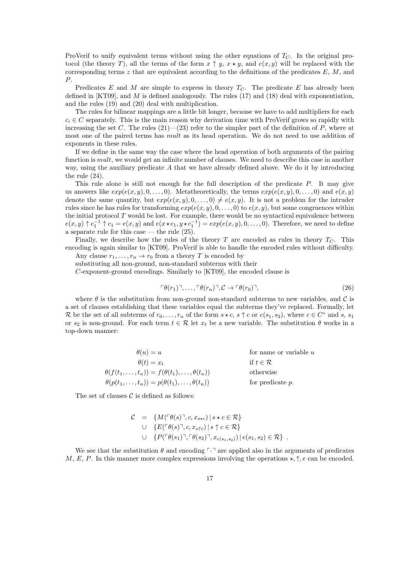ProVerif to unify equivalent terms without using the other equations of  $T<sub>C</sub>$ . In the original protocol (the theory T), all the terms of the form  $x \uparrow y$ ,  $x \star y$ , and  $e(x, y)$  will be replaced with the corresponding terms  $z$  that are equivalent according to the definitions of the predicates  $E, M$ , and P.

Predicates E and M are simple to express in theory  $T<sub>C</sub>$ . The predicate E has already been defined in [KT09], and  $M$  is defined analogously. The rules (17) and (18) deal with exponentiation, and the rules (19) and (20) deal with multiplication.

The rules for bilinear mappings are a little bit longer, because we have to add multipliers for each  $c_i \in C$  separately. This is the main reason why derivation time with ProVerif grows so rapidly with increasing the set C. The rules  $(21)$ — $(23)$  refer to the simpler part of the definition of P, where at most one of the paired terms has mult as its head operation. We do not need to use addition of exponents in these rules.

If we define in the same way the case where the head operation of both arguments of the pairing function is *mult*, we would get an infinite number of clauses. We need to describe this case in another way, using the auxiliary predicate A that we have already defined above. We do it by introducing the rule (24).

This rule alone is still not enough for the full description of the predicate  $P$ . It may give us answers like  $exp(e(x, y), 0, \ldots, 0)$ . Metatheoretically, the terms  $exp(e(x, y), 0, \ldots, 0)$  and  $e(x, y)$ denote the same quantity, but  $exp(e(x, y), 0, \ldots, 0) \neq e(x, y)$ . It is not a problem for the intruder rules since he has rules for transforming  $exp(e(x, y), 0, \ldots, 0)$  to  $e(x, y)$ , but some congruences within the initial protocol  $T$  would be lost. For example, there would be no syntactical equivalence between  $e(x,y) \uparrow c_1^{-1} \uparrow c_1 = e(x,y)$  and  $e(x \star c_1, y \star c_1^{-1}) = exp(e(x,y), 0, \ldots, 0)$ . Therefore, we need to define a separate rule for this case — the rule  $(25)$ .

Finally, we describe how the rules of the theory T are encoded as rules in theory  $T<sub>C</sub>$ . This encoding is again similar to [KT09]. ProVerif is able to handle the encoded rules without difficulty. Any clause  $r_1, \ldots, r_n \to r_0$  from a theory T is encoded by

substituting all non-ground, non-standard subterms with their

C-exponent-ground encodings. Similarly to [KT09], the encoded clause is

$$
\ulcorner \theta(r_1) \urcorner, \ldots, \ulcorner \theta(r_n) \urcorner, \mathcal{C} \to \ulcorner \theta(r_0) \urcorner,
$$
\n
$$
(26)
$$

where  $\theta$  is the substitution from non-ground non-standard subterms to new variables, and  $\mathcal C$  is a set of clauses establishing that these variables equal the subterms they've replaced. Formally, let R be the set of all subterms of  $r_0, \ldots, r_n$  of the form  $s \star c$ ,  $s \uparrow c$  or  $e(s_1, s_2)$ , where  $c \in C^*$  and s,  $s_1$ or  $s_2$  is non-ground. For each term  $t \in \mathcal{R}$  let  $x_t$  be a new variable. The substitution  $\theta$  works in a top-down manner:

| $\theta(u) = u$                                               | for name or variable $u$ |
|---------------------------------------------------------------|--------------------------|
| $\theta(t)=x_t$                                               | if $t \in \mathcal{R}$   |
| $\theta(f(t_1,\ldots,t_n))=f(\theta(t_1),\ldots,\theta(t_n))$ | otherwise                |
| $\theta(p(t_1,\ldots,t_n))=p(\theta(t_1),\ldots,\theta(t_n))$ | for predicate p.         |

The set of clauses  $\mathcal C$  is defined as follows:

$$
C = \{ M(\ulcorner \theta(s) \urcorner, c, x_{s+c}) \mid s+c \in \mathcal{R} \}
$$
  
\n
$$
\cup \{ E(\ulcorner \theta(s) \urcorner, c, x_{s\uparrow c}) \mid s \uparrow c \in \mathcal{R} \}
$$
  
\n
$$
\cup \{ P(\ulcorner \theta(s_1) \urcorner, \ulcorner \theta(s_2) \urcorner, x_{e(s_1, s_2)}) \mid e(s_1, s_2) \in \mathcal{R} \}.
$$

We see that the substitution  $\theta$  and encoding  $\ulcorner \cdot \urcorner$  are applied also in the arguments of predicates M, E, P. In this manner more complex expressions involving the operations  $\star, \uparrow, e$  can be encoded.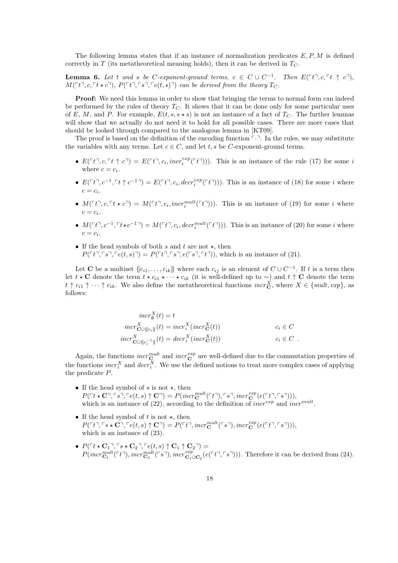The following lemma states that if an instance of normalization predicates  $E, P, M$  is defined correctly in  $T$  (its metatheoretical meaning holds), then it can be derived in  $T_C$ .

**Lemma 6.** Let t and s be C-exponent-ground terms,  $c \in C \cup C^{-1}$ . Then  $E(\ulcorner t \urcorner, c, \ulcorner t \urcorner c \urcorner)$ ,  $M(\ulcorner t\urcorner, c, \ulcorner t \star c\urcorner)$ ,  $P(\ulcorner t\urcorner, \ulcorner s\urcorner, \ulcorner e(t, s)\urcorner)$  can be derived from the theory  $T_C$ .

**Proof:** We need this lemma in order to show that bringing the terms to normal form can indeed be performed by the rules of theory  $T_C$ . It shows that it can be done only for some particular uses of E, M, and P. For example,  $E(t, s, s * s)$  is not an instance of a fact of  $T_C$ . The further lemmas will show that we actually do not need it to hold for all possible cases. There are more cases that should be looked through compared to the analogous lemma in [KT09].

The proof is based on the definition of the encoding function  $\lceil \cdot \rceil$ . In the rules, we may substitute the variables with any terms. Let  $c \in C$ , and let t, s be C-exponent-ground terms.

- $E(\ulcorner t\urcorner, c, \ulcorner t \uparrow c\urcorner) = E(\ulcorner t\urcorner, c_i, incr_i^{exp}(\ulcorner t\urcorner))).$  This is an instance of the rule (17) for some i where  $c = c_i$ .
- $E(\ulcorner t\urcorner, c^{-1}, \ulcorner t\uparrow c^{-1}\urcorner) = E(\ulcorner t\urcorner, c_i, decr_i^{exp}(\ulcorner t\urcorner))).$  This is an instance of (18) for some i where  $c = c_i$ .
- $M(\ulcorner t\urcorner, c, \ulcorner t \star c\urcorner) = M(\ulcorner t\urcorner, c_i, incr_i^{mult}(\ulcorner t\urcorner)))$ . This is an instance of (19) for some i where  $c = c_i$ .
- $M(\ulcorner t\urcorner, c\urcorner^1, \ulcorner t \star c\urcorner^1 \urcorner) = M(\ulcorner t\urcorner, c_i, \text{decr}_i^{mult}(\ulcorner t\urcorner))$ . This is an instance of (20) for some i where  $c = c_i$ .
- If the head symbols of both s and t are not  $\star$ , then  $P(\ulcorner t\urcorner, \ulcorner s\urcorner, \ulcorner e(t, s)\urcorner) = P(\ulcorner t\urcorner, \ulcorner s\urcorner, e(\ulcorner s\urcorner, \ulcorner t\urcorner)),$  which is an instance of (21).

Let C be a multiset  $\{c_{i1}, \ldots, c_{ik}\}$  where each  $c_{ij}$  is an element of  $C \cup C^{-1}$ . If t is a term then let  $t \star \mathbf{C}$  denote the term  $t \star c_{i1} \star \cdots \star c_{ik}$  (it is well-defined up to  $\sim$ ) and  $t \uparrow \mathbf{C}$  denote the term  $t \uparrow c_{i1} \uparrow \cdots \uparrow c_{ik}$ . We also define the metatheoretical functions  $\text{incr}_{\mathbf{C}}^X$ , where  $X \in \{\text{mult}, \text{exp}\},\$  as follows:

$$
incr_{\emptyset}^{X}(t) = t
$$
  
\n
$$
incr_{\mathbf{C} \cup \{c_i\}}^{X}(t) = incr_i^{X}(incr_{\mathbf{C}}^{X}(t))
$$
  
\n
$$
incr_{\mathbf{C} \cup \{c_i^{-1}\}}^{X}(t) = decr_i^{X}(incr_{\mathbf{C}}^{X}(t))
$$
  
\n
$$
c_i \in C
$$
  
\n
$$
c_i \in C
$$

Again, the functions  $\text{incr}_{\mathbf{C}}^{\text{mult}}$  and  $\text{incr}_{\mathbf{C}}^{\text{exp}}$  are well-defined due to the commutation properties of the functions  $\text{incr}_i^X$  and  $\text{decr}_i^X$ . We use the defined notions to treat more complex cases of applying the predicate P.

- If the head symbol of s is not  $\star$ , then  $P(\ulcorner t \star \mathbf{C} \urcorner, \ulcorner s \urcorner, \ulcorner e(t,s) \uparrow \mathbf{C} \urcorner) = P( \operatorname{incr}^{mult}_\mathbf{C}(\ulcorner t \urcorner), \ulcorner s \urcorner, \operatorname{incr}^{exp}_\mathbf{C}(e(\ulcorner t \urcorner, \ulcorner s \urcorner))),$ which is an instance of (22), according to the definition of  $incr^{exp}$  and  $incr^{mult}$ .
- If the head symbol of t is not  $\star$ , then  $P(\ulcorner t\urcorner, \ulcorner s\star \mathbf{C}\urcorner, \ulcorner e(t,s)\uparrow \mathbf{C}\urcorner) = P(\ulcorner t\urcorner, \mathit{incr}_{\mathbf{C}}^{\mathit{mult}}(\ulcorner s\urcorner), \mathit{incr}_{\mathbf{C}}^{\mathit{exp}}(e(\ulcorner t\urcorner, \ulcorner s\urcorner))),$ which is an instance of (23).
- $P(\ulcorner t \star \mathbf{C}_1 \urcorner, \ulcorner s \star \mathbf{C}_2 \urcorner, \ulcorner e(t, s) \uparrow \mathbf{C}_1 \uparrow \mathbf{C}_2 \urcorner) =$  $P(\text{incr}_{\mathbf{C}_1}^{\text{mult}}(\ulcorner t \urcorner), \text{incr}_{\mathbf{C}_2}^{\text{mult}}(\ulcorner s \urcorner), \text{incr}_{\mathbf{C}_1 \cup \mathbf{C}_2}^{\text{exp}}(e(\ulcorner t \urcorner, \ulcorner s \urcorner))).$  Therefore it can be derived from (24).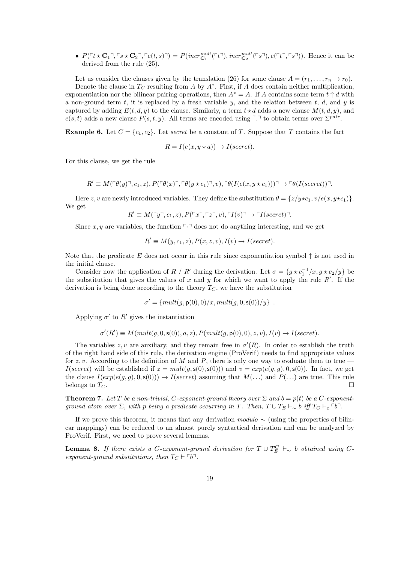•  $P(\ulcorner t \star \mathbf{C}_1 \urcorner, \ulcorner s \star \mathbf{C}_2 \urcorner, \ulcorner e(t,s) \urcorner) = P(\text{incr}_{\mathbf{C}_1}^{\text{mult}}(\ulcorner t \urcorner), \text{incr}_{\mathbf{C}_2}^{\text{mult}}(\ulcorner s \urcorner), e(\ulcorner t \urcorner, \ulcorner s \urcorner)).$  Hence it can be derived from the rule (25).

Let us consider the clauses given by the translation (26) for some clause  $A = (r_1, \ldots, r_n \rightarrow r_0)$ . Denote the clause in  $T_C$  resulting from A by  $A^*$ . First, if A does contain neither multiplication, exponentiation nor the bilinear pairing operations, then  $A^* = A$ . If A contains some term  $t \uparrow d$  with a non-ground term t, it is replaced by a fresh variable y, and the relation between t, d, and y is captured by adding  $E(t, d, y)$  to the clause. Similarly, a term  $t \star d$  adds a new clause  $M(t, d, y)$ , and  $e(s,t)$  adds a new clause  $P(s,t,y)$ . All terms are encoded using  $\ulcorner$ . to obtain terms over  $\Sigma^{pair}$ .

**Example 6.** Let  $C = \{c_1, c_2\}$ . Let *secret* be a constant of T. Suppose that T contains the fact

$$
R = I(e(x, y \star a)) \to I(secret).
$$

For this clause, we get the rule

$$
R' \equiv M({}^\lnot \theta(y)^\lnot, c_1, z), P({}^\lnot \theta(x)^\lnot, {}^\lnot \theta(y \star c_1)^\lnot, v), {}^\lnot \theta(I(e(x, y \star c_1)))^\lnot \rightarrow {}^\lnot \theta(I(secret))^\lnot.
$$

Here  $z, v$  are newly introduced variables. They define the substitution  $\theta = \{z/y \star c_1, v/e(x, y \star c_1)\}\.$ We get

$$
R' \equiv M(\ulcorner y \urcorner, c_1, z), P(\ulcorner x \urcorner, \ulcorner z \urcorner, v), \ulcorner I(v) \urcorner \rightarrow \ulcorner I(\mathit{secret}) \urcorner.
$$

Since x, y are variables, the function  $\lceil \cdot \rceil$  does not do anything interesting, and we get

$$
R' \equiv M(y, c_1, z), P(x, z, v), I(v) \to I(\text{secret}).
$$

Note that the predicate E does not occur in this rule since exponentiation symbol  $\uparrow$  is not used in the initial clause.

Consider now the application of R / R' during the derivation. Let  $\sigma = \{g * c_1^{-1}/x, g * c_2/y\}$  be the substitution that gives the values of x and y for which we want to apply the rule  $R'$ . If the derivation is being done according to the theory  $T_C$ , we have the substitution

$$
\sigma' = \{mult(g, \mathsf{p}(0), 0)/x, mult(g, 0, \mathsf{s}(0))/y\} .
$$

Applying  $\sigma'$  to  $R'$  gives the instantiation

$$
\sigma'(R') \equiv M(mult(g, 0, \mathsf{s}(0)), a, z), P(mult(g, \mathsf{p}(0), 0), z, v), I(v) \to I(\mathit{secret}).
$$

The variables  $z, v$  are auxiliary, and they remain free in  $\sigma'(R)$ . In order to establish the truth of the right hand side of this rule, the derivation engine (ProVerif) needs to find appropriate values for z, v. According to the definition of M and P, there is only one way to evaluate them to true — I(secret) will be established if  $z = mult(g, s(0), s(0))$  and  $v = exp(e(g, g), 0, s(0))$ . In fact, we get the clause  $I(exp(e(q, q), 0, s(0))) \rightarrow I(secret)$  assuming that  $M(...)$  and  $P(...)$  are true. This rule belongs to  $T_C$ .

**Theorem 7.** Let T be a non-trivial, C-exponent-ground theory over  $\Sigma$  and  $b = p(t)$  be a C-exponentground atom over  $\Sigma$ , with p being a predicate occurring in T. Then,  $T \cup T_E \vdash_{\sim} b$  iff  $T_C \vdash_{\sim} \ulcorner b \urcorner$ .

If we prove this theorem, it means that any derivation modulo  $\sim$  (using the properties of bilinear mappings) can be reduced to an almost purely syntactical derivation and can be analyzed by ProVerif. First, we need to prove several lemmas.

**Lemma 8.** If there exists a C-exponent-ground derivation for  $T \cup T_E^C \vdash_{\sim} b$  obtained using Cexponent-ground substitutions, then  $T_C \vdash \ulcorner b\urcorner$ .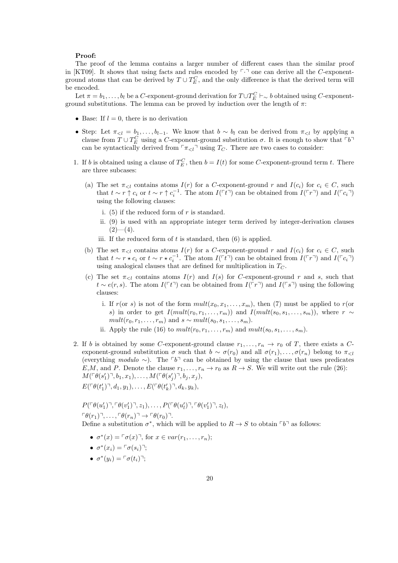#### Proof:

The proof of the lemma contains a larger number of different cases than the similar proof in [KT09]. It shows that using facts and rules encoded by  $\lceil \cdot \rceil$  one can derive all the C-exponentground atoms that can be derived by  $T \cup T_E^C$ , and the only difference is that the derived term will be encoded.

Let  $\pi = b_1, \ldots, b_l$  be a C-exponent-ground derivation for  $T \cup T_E^C \vdash_{\sim} b$  obtained using C-exponentground substitutions. The lemma can be proved by induction over the length of  $\pi$ :

- Base: If  $l = 0$ , there is no derivation
- Step: Let  $\pi_{< l} = b_1, \ldots, b_{l-1}$ . We know that  $b \sim b_l$  can be derived from  $\pi_{< l}$  by applying a clause from  $T \cup T_E^C$  using a C-exponent-ground substitution  $\sigma$ . It is enough to show that  $\ulcorner b \urcorner$ can be syntactically derived from  $\lceil \pi_{\leq l} \rceil$  using  $T_C$ . There are two cases to consider:
- 1. If b is obtained using a clause of  $T_E^C$ , then  $b = I(t)$  for some C-exponent-ground term t. There are three subcases:
	- (a) The set  $\pi_{\leq l}$  contains atoms  $I(r)$  for a C-exponent-ground r and  $I(c_i)$  for  $c_i \in C$ , such that  $t \sim r \uparrow c_i$  or  $t \sim r \uparrow c_i^{-1}$ . The atom  $I(\ulcorner t \urcorner)$  can be obtained from  $I(\ulcorner r \urcorner)$  and  $I(\ulcorner c_i \urcorner)$ using the following clauses:
		- i. (5) if the reduced form of  $r$  is standard.
		- ii. (9) is used with an appropriate integer term derived by integer-derivation clauses  $(2)$ — $(4)$ .
		- iii. If the reduced form of  $t$  is standard, then  $(6)$  is applied.
	- (b) The set  $\pi_{\leq l}$  contains atoms  $I(r)$  for a C-exponent-ground r and  $I(c_i)$  for  $c_i \in C$ , such that  $t \sim r \star c_i$  or  $t \sim r \star c_i^{-1}$ . The atom  $I(\ulcorner t\urcorner)$  can be obtained from  $I(\ulcorner r\urcorner)$  and  $I(\ulcorner c_i\urcorner)$ using analogical clauses that are defined for multiplication in  $T<sub>C</sub>$ .
	- (c) The set  $\pi_{\leq l}$  contains atoms  $I(r)$  and  $I(s)$  for C-exponent-ground r and s, such that  $t \sim e(r, s)$ . The atom  $I(\lceil t \rceil)$  can be obtained from  $I(\lceil r \rceil)$  and  $I(\lceil s \rceil)$  using the following clauses:
		- i. If  $r$  (or s) is not of the form  $mult(x_0, x_1, \ldots, x_m)$ , then (7) must be applied to  $r$  (or s) in order to get  $I(mult(r_0, r_1, \ldots, r_m))$  and  $I(mult(s_0, s_1, \ldots, s_m))$ , where  $r \sim$  $mult(r_0, r_1, \ldots, r_m)$  and  $s \sim mult(s_0, s_1, \ldots, s_m)$ .
		- ii. Apply the rule (16) to  $mult(r_0, r_1, \ldots, r_m)$  and  $mult(s_0, s_1, \ldots, s_m)$ .
- 2. If b is obtained by some C-exponent-ground clause  $r_1, \ldots, r_n \to r_0$  of T, there exists a Cexponent-ground substitution  $\sigma$  such that  $b \sim \sigma(r_0)$  and all  $\sigma(r_1), \ldots, \sigma(r_n)$  belong to  $\pi_{\leq l}$ (everything modulo ∼). The  $\lceil b \rceil$  can be obtained by using the clause that uses predicates E,M, and P. Denote the clause  $r_1, \ldots, r_n \to r_0$  as  $R \to S$ . We will write out the rule (26):  $M(\ulcorner\theta(s'_1)\urcorner, b_1, x_1), \ldots, M(\ulcorner\theta(s'_j)\urcorner, b_j, x_j),$  $E(\ulcorner\theta(t'_1)\urcorner,d_1,y_1),\ldots,E(\ulcorner\theta(t'_k)\urcorner,d_k,y_k),$

 $P(\ulcorner \theta(u_1')\urcorner, \ulcorner \theta(v_1')\urcorner, z_1), \ldots, P(\ulcorner \theta(u_l')\urcorner, \ulcorner \theta(v_1')\urcorner, z_l),$  $\ulcorner \theta(r_1) \urcorner, \ldots, \ulcorner \theta(r_n) \urcorner \rightarrow \ulcorner \theta(r_0) \urcorner.$ Define a substitution  $\sigma^*$ , which will be applied to  $R \to S$  to obtain  $\ulcorner b \urcorner$  as follows:

- $\sigma^*(x) = \ulcorner \sigma(x) \urcorner$ , for  $x \in var(r_1, \ldots, r_n);$
- $\sigma^*(x_i) = \ulcorner \sigma(s_i) \urcorner;$
- $\sigma^*(y_i) = \ulcorner \sigma(t_i) \urcorner;$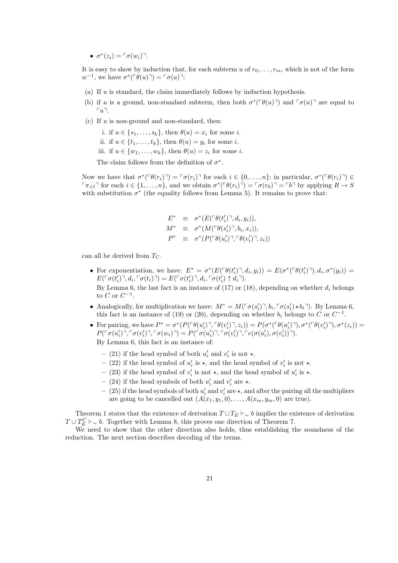•  $\sigma^*(z_i) = \ulcorner \sigma(w_i) \urcorner$ .

It is easy to show by induction that, for each subterm u of  $r_0, \ldots, r_m$ , which is not of the form  $w^{-1}$ , we have  $\sigma^*(\ulcorner \theta(u) \urcorner) = \ulcorner \sigma(u) \urcorner$ :

- (a) If  $u$  is standard, the claim immediately follows by induction hypothesis.
- (b) if u is a ground, non-standard subterm, then both  $\sigma^*$ ( $\sigma(u)$ ) and  $\sigma(u)$  are equal to  $\ulcorner u \urcorner$ .
- (c) If  $u$  is non-ground and non-standard, then:

i. if  $u \in \{s_1, \ldots, s_k\}$ , then  $\theta(u) = x_i$  for some *i*.

- ii. if  $u \in \{t_1, \ldots, t_k\}$ , then  $\theta(u) = y_i$  for some *i*.
- iii. if  $u \in \{w_1, \ldots, w_k\}$ , then  $\theta(u) = z_i$  for some *i*.

The claim follows from the definition of  $\sigma^*$ .

Now we have that  $\sigma^*(\ulcorner \theta(r_i) \urcorner) = \ulcorner \sigma(r_i) \urcorner$  for each  $i \in \{0, \ldots, n\}$ ; in particular,  $\sigma^*(\ulcorner \theta(r_i) \urcorner) \in$  $\lceil \pi_{< l} \rceil$  for each  $i \in \{1, \ldots, n\}$ , and we obtain  $\sigma^*(\lceil \theta(r_i) \rceil) = \lceil \sigma(r_0) \rceil = \lceil b \rceil$  by applying  $R \to S$ with substitution  $\sigma^*$  (the equality follows from Lemma 5). It remains to prove that:

$$
E^* \equiv \sigma^*(E(\ulcorner \theta(t_i') \urcorner, d_i, y_i)),
$$
  
\n
$$
M^* \equiv \sigma^*(M(\ulcorner \theta(s_i') \urcorner, b_i, x_i)),
$$
  
\n
$$
P^* \equiv \sigma^*(P(\ulcorner \theta(u_i') \urcorner, \ulcorner \theta(v_i') \urcorner, z_i))
$$

can all be derived from  $T_C$ .

- For exponentiation, we have:  $E^* = \sigma^*(E(\ulcorner \theta(t_i') \urcorner, d_i, y_i)) = E(\sigma^*(\ulcorner \theta(t_i') \urcorner), d_i, \sigma^*(y_i)) =$  $E(\ulcorner\sigma(t'_i)\urcorner,d_i,\ulcorner\sigma(t_i)\urcorner)=E(\ulcorner\sigma(t'_i)\urcorner,d_i,\ulcorner\sigma(t'_i)\uparrow d_i\urcorner).$ By Lemma 6, the last fact is an instance of (17) or (18), depending on whether  $d_i$  belongs to C or  $C^{-1}$ .
- Analogically, for multiplication we have:  $M^* = M(\ulcorner \sigma(s'_i) \urcorner, b_i, \ulcorner \sigma(s'_i) \star b_i \urcorner)$ . By Lemma 6, this fact is an instance of (19) or (20), depending on whether  $b_i$  belongs to C or  $C^{-1}$ .
- For pairing, we have  $P^* = \sigma^* (P(\ulcorner \theta(u_i')\urcorner, \ulcorner \theta(v_i')\urcorner, z_i)) = P(\sigma^*(\ulcorner \theta(u_i')\urcorner), \sigma^*(\ulcorner \theta(v_i')\urcorner), \sigma^*(z_i)) =$  $P(\ulcorner \sigma(u'_i) \urcorner, \ulcorner \sigma(v'_i) \urcorner, \ulcorner \sigma(w_i) \urcorner) = P(\ulcorner \sigma(u'_i) \urcorner, \ulcorner \sigma(v'_i) \urcorner, \ulcorner e(\sigma(u'_i), \sigma(v'_i)) \urcorner).$ By Lemma 6, this fact is an instance of:
	- (21) if the head symbol of both  $u'_i$  and  $v'_i$  is not  $\star$ .
	- (22) if the head symbol of  $u'_i$  is  $\star$ , and the head symbol of  $v'_i$  is not  $\star$ .
	- (23) if the head symbol of  $v_i'$  is not  $\star$ , and the head symbol of  $u_i'$  is  $\star$ .
	- (24) if the head symbols of both  $u'_i$  and  $v'_i$  are  $\star$ .
	- $-$  (25) if the head symbols of both  $u'_i$  and  $v'_i$  are  $\star$ , and after the pairing all the multipliers are going to be cancelled out  $(A(x_1, y_1, 0), \ldots, A(x_m, y_m, 0)$  are true).

Theorem 1 states that the existence of derivation  $T \cup T_E \vdash_{\sim} b$  implies the existence of derivation  $T \cup T_E^C \vdash_{\sim} b$ . Together with Lemma 8, this proves one direction of Theorem 7.

We need to show that the other direction also holds, thus establishing the soundness of the reduction. The next section describes decoding of the terms.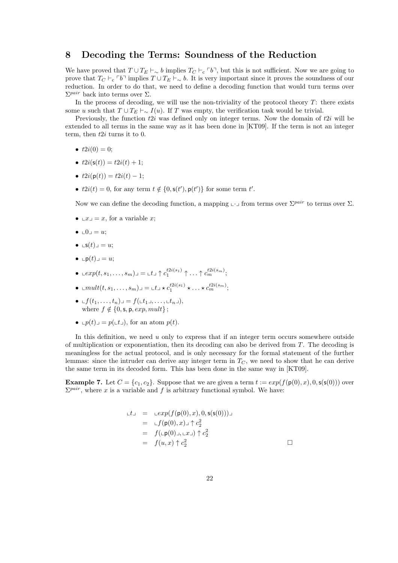## 8 Decoding the Terms: Soundness of the Reduction

We have proved that  $T \cup T_E \vdash_{\sim} b$  implies  $T_C \vdash_{\sim} b \overline{b}$ , but this is not sufficient. Now we are going to prove that  $T_C \vdash_c \ulcorner b\urcorner$  implies  $T \cup T_E \vdash_c b$ . It is very important since it proves the soundness of our reduction. In order to do that, we need to define a decoding function that would turn terms over  $\Sigma^{pair}$  back into terms over  $\Sigma$ .

In the process of decoding, we will use the non-triviality of the protocol theory  $T$ : there exists some u such that  $T \cup T_E \vdash \sim I(u)$ . If T was empty, the verification task would be trivial.

Previously, the function  $t2i$  was defined only on integer terms. Now the domain of  $t2i$  will be extended to all terms in the same way as it has been done in [KT09]. If the term is not an integer term, then  $t2i$  turns it to 0.

- $t2i(0) = 0;$
- $t2i(s(t)) = t2i(t) + 1;$
- $t2i(p(t)) = t2i(t) 1;$
- $t2i(t) = 0$ , for any term  $t \notin \{0, s(t'), p(t')\}$  for some term  $t'$ .

Now we can define the decoding function, a mapping  $\Box$  from terms over  $\Sigma^{pair}$  to terms over  $\Sigma$ .

- $\iota x \iota = x$ , for a variable x;
- $\Box 0 \Box = u;$
- $\mathsf{LS}(t) = u;$
- $\Box p(t) \Box = u;$
- $\bullet \ \mathit{Lexp}(t, s_1, \ldots, s_m)$ j =  $\mathit{Lt}_\bot \uparrow c_1^{t2i(s_1)} \uparrow \ldots \uparrow c_m^{t2i(s_m)};$
- $\text{imult}(t, s_1, \ldots, s_m)$  $\Box = \text{imt} \bot \star c_1^{t2i(s_1)} \star \ldots \star c_m^{t2i(s_m)};$
- $\iota f(t_1, \ldots, t_n) = f(\iota t_1, \ldots, \iota t_n),$ where  $f \notin \{0, \mathsf{s}, \mathsf{p}, \text{exp}, \text{mult}\};$
- $p(t) = p(\text{tr}),$  for an atom  $p(t)$ .

In this definition, we need  $u$  only to express that if an integer term occurs somewhere outside of multiplication or exponentiation, then its decoding can also be derived from  $T$ . The decoding is meaningless for the actual protocol, and is only necessary for the formal statement of the further lemmas: since the intruder can derive any integer term in  $T_C$ , we need to show that he can derive the same term in its decoded form. This has been done in the same way in [KT09].

**Example 7.** Let  $C = \{c_1, c_2\}$ . Suppose that we are given a term  $t := exp(f(p(0), x), 0, s(s(0)))$  over  $\Sigma^{pair}$ , where x is a variable and f is arbitrary functional symbol. We have:

$$
\begin{array}{rcl}\n\mathsf{L}t \mathsf{J} & = & \mathsf{L}exp(f(\mathsf{p}(0), x), 0, \mathsf{s}(\mathsf{s}(0))) \mathsf{J} \\
& = & \mathsf{L}f(\mathsf{p}(0), x) \mathsf{J} \uparrow c_2^2 \\
& = & f(\mathsf{L}\mathsf{p}(0) \mathsf{J}, \mathsf{L}x \mathsf{J}) \uparrow c_2^2 \\
& = & f(u, x) \uparrow c_2^2\n\end{array}\n\qquad \qquad \Box
$$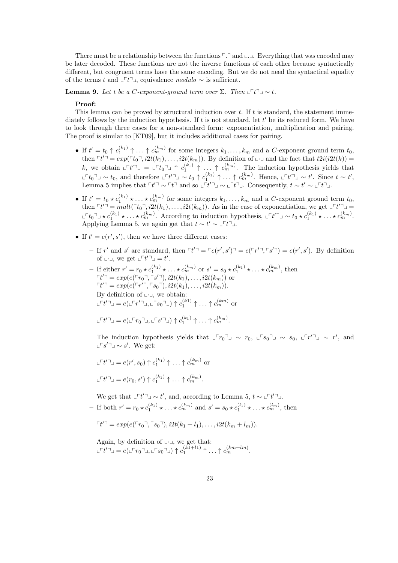There must be a relationship between the functions  $\ulcorner$ . and  $\ulcorner$ . Everything that was encoded may be later decoded. These functions are not the inverse functions of each other because syntactically different, but congruent terms have the same encoding. But we do not need the syntactical equality of the terms t and ∟ $\ulcorner t\urcorner$ , equivalence modulo ∼ is sufficient.

**Lemma 9.** Let t be a C-exponent-ground term over  $\Sigma$ . Then  $\llcorner$ <sup>r</sup> $\lrcorner \sim t$ .

#### Proof:

This lemma can be proved by structural induction over  $t$ . If  $t$  is standard, the statement immediately follows by the induction hypothesis. If  $t$  is not standard, let  $t'$  be its reduced form. We have to look through three cases for a non-standard form: exponentiation, multiplication and pairing. The proof is similar to [KT09], but it includes additional cases for pairing.

- If  $t' = t_0 \uparrow c_1^{(k_1)} \uparrow \ldots \uparrow c_m^{(k_m)}$  for some integers  $k_1, \ldots, k_m$  and a C-exponent ground term  $t_0$ , then  $\ulcorner t'^\rceil = exp(\ulcorner t_0 \urcorner, i2t(k_1), \ldots, i2t(k_m))$ . By definition of  $\llcorner \lrcorner$  and the fact that  $t2i(i2t(k)) =$ k, we obtain  $L \cdot t^{\prime}$   $\perp = L \cdot t_0$   $\perp$   $\uparrow$   $c_1^{(k_1)} \uparrow \ldots \uparrow c_m^{(k_m)}$ . The induction hypothesis yields that  $\Box$   $\Box$   $\sim$   $t_0$ , and therefore  $\Box \ulcorner t'^\sqsupset \bot \sim t_0 \uparrow c_1^{(k_1)} \uparrow \ldots \uparrow c_m^{(k_m)}$ . Hence,  $\Box \ulcorner t'^\sqsupset \bot t'$ . Since  $t \sim t'$ , Lemma 5 implies that  $\lceil t'^{\sqsupset} \sim \lceil t \rceil$  and so  $\lceil t'^{\sqsupset} \rceil \sim \lceil t \rceil$  . Consequently,  $t \sim t' \sim \lceil t \rceil$  .
- If  $t' = t_0 \star c_1^{(k_1)} \star \ldots \star c_m^{(k_m)}$  for some integers  $k_1, \ldots, k_m$  and a C-exponent ground term  $t_0$ , then  $\lceil t'^{\top} \rceil = mult(\lceil t_0 \rceil, i2t(k_1), \ldots, i2t(k_m))$ . As in the case of exponentiation, we get  $\lceil t'^{\top} \rceil =$  $\Box$   $\Box$   $\star$   $c_1^{(k_1)}$   $\star \ldots \star c_m^{(k_m)}$ . According to induction hypothesis,  $\Box$   $\Box'$   $\Box \sim t_0 \star c_1^{(k_1)} \star \ldots \star c_m^{(k_m)}$ . Applying Lemma 5, we again get that  $t \sim t' \sim L^{\lceil t \rceil}$ .
- If  $t' = e(r', s')$ , then we have three different cases:
	- If r' and s' are standard, then  $\ulcorner t'' = \ulcorner e(r', s') \urcorner = e(\ulcorner r' \urcorner, \ulcorner s' \urcorner) = e(r', s')$ . By definition of  $\sqcup$ , we get  $\sqcup \ulcorner t'^\sqsupset = t'$ .
	- If either  $r' = r_0 \star c_1^{(k_1)} \star \ldots \star c_m^{(k_m)}$  or  $s' = s_0 \star c_1^{(k_1)} \star \ldots \star c_m^{(k_m)}$ , then  $\Gamma t'^{\mathsf{T}} = exp(e(\Gamma r_0^{\mathsf{T}}, \Gamma s'^{\mathsf{T}}), i2t(k_1), \dots, i2t(k_m))$  or  $\Gamma t'^{\mathsf{T}} = exp(e(\Gamma r'^{\mathsf{T}}, \Gamma s_0^{\mathsf{T}}), i2t(k_1), \dots, i2t(k_m)).$ By definition of  $L \cdot \Box$ , we obtain:  $L\ulcorner t'\urcorner\lrcorner = e(\llcorner\ulcorner r'\urcorner\lrcorner,\llcorner\ulcorner s_0\urcorner\lrcorner) \uparrow c_1^{(k1)}\uparrow\ldots\uparrow c_m^{(km)}$  or  $\mathsf{L} \ulcorner t' \urcorner \lrcorner = e(\mathsf{L} \ulcorner r_0 \urcorner \lrcorner, \mathsf{L} \ulcorner s' \urcorner \lrcorner) \uparrow c_1^{(k_1)} \uparrow \ldots \uparrow c_m^{(k_m)}.$

The induction hypothesis yields that  $\llcorner r_0 \rceil$  ∼  $r_0$ ,  $\llcorner s_0 \rceil$  ∼  $s_0$ ,  $\llcorner r'^{\rceil}$  ∼  $r'$ , and  $\lfloor \lceil s'^{\sqcap} \rfloor \sim s'$ . We get:

$$
\mathbf{L} \ulcorner t' \urcorner \lrcorner = e(r', s_0) \uparrow c_1^{(k_1)} \uparrow \ldots \uparrow c_m^{(k_m)} \text{ or}
$$

$$
\mathbf{L} \ulcorner t' \urcorner \lrcorner = e(r_0, s') \uparrow c_1^{(k_1)} \uparrow \ldots \uparrow c_m^{(k_m)}.
$$

We get that  $\llcorner$ <sup>r</sup> $\prime\urcorner$ <sub>→</sub> ~ t', and, according to Lemma 5,  $t \sim \llcorner$ <sup>r</sup> $\prime\urcorner$ <sub>→</sub>. - If both  $r' = r_0 \star c_1^{(k_1)} \star \ldots \star c_m^{(k_m)}$  and  $s' = s_0 \star c_1^{(l_1)} \star \ldots \star c_m^{(l_m)}$ , then

$$
\Gamma t'^{\mathsf{T}} = exp(e(\Gamma r_0^{\mathsf{T}}, \Gamma s_0^{\mathsf{T}}), i2t(k_1 + l_1), \dots, i2t(k_m + l_m)).
$$

Again, by definition of  $L \cdot \Box$ , we get that:  $\mathcal{L} \Gamma t'^{\mathsf{T}} \mathsf{J} = e(\mathcal{L} \Gamma r_0 \mathsf{J} \mathsf{J}, \mathcal{L} \Gamma s_0 \mathsf{J} \mathsf{J}) \uparrow c_1^{(k1+l1)} \uparrow \ldots \uparrow c_m^{(km+lm)}.$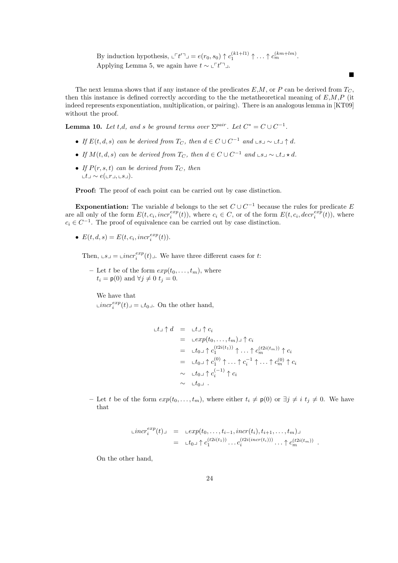By induction hypothesis,  $\mathcal{L}^{\mathsf{T}}t^{\prime\mathsf{T}}\mathcal{I} = e(r_0, s_0) \uparrow c_1^{(k_1+l_1)} \uparrow \ldots \uparrow c_m^{(km+lm)}$ . Applying Lemma 5, we again have  $t \sim L\tau'$ 

The next lemma shows that if any instance of the predicates  $E,M$ , or P can be derived from  $T<sub>C</sub>$ , then this instance is defined correctly according to the the metatheoretical meaning of  $E,M,P$  (it indeed represents exponentiation, multiplication, or pairing). There is an analogous lemma in [KT09] without the proof.

 $\blacksquare$ 

**Lemma 10.** Let t,d, and s be ground terms over  $\Sigma^{pair}$ . Let  $C^* = C \cup C^{-1}$ .

- If  $E(t, d, s)$  can be derived from  $T_C$ , then  $d \in C \cup C^{-1}$  and  $\Box s \cup \negthinspace \sim \bot t \bot \uparrow d$ .
- If  $M(t, d, s)$  can be derived from  $T_C$ , then  $d \in C \cup C^{-1}$  and  $\Box s \cup \neg \Box t \cup \neg t$ .
- If  $P(r, s, t)$  can be derived from  $T_c$ , then  $\iota$ *ut*  $\sim e(\iota r\iota, \iota s\iota).$

Proof: The proof of each point can be carried out by case distinction.

**Exponentiation:** The variable d belongs to the set  $C \cup C^{-1}$  because the rules for predicate E are all only of the form  $E(t, c_i, incr_i^{exp}(t))$ , where  $c_i \in C$ , or of the form  $E(t, c_i, decr_i^{exp}(t))$ , where  $c_i \in C^{-1}$ . The proof of equivalence can be carried out by case distinction.

•  $E(t, d, s) = E(t, c_i, incr_i^{exp}(t)).$ 

Then,  $\text{L} s\text{d} = \text{L} incr_i^{exp}(t)\text{d}$ . We have three different cases for t:

– Let t be of the form  $exp(t_0, \ldots, t_m)$ , where  $t_i = \mathsf{p}(0)$  and  $\forall j \neq 0$   $t_j = 0$ .

We have that  $\iota_{\mathit{incr}_i^{exp}(t)} = \iota_{t_0}$ . On the other hand,

$$
\begin{array}{rcl}\n\mathsf{L} \mathsf{L} \mathsf{L} \mathsf{L} \mathsf{L} \mathsf{L} \mathsf{R} \mathsf{I} & = & \mathsf{L} \mathsf{L} \mathsf{L} \mathsf{L} \mathsf{C} \mathsf{I} \\
& = & \mathsf{L} \mathsf{exp}(t_0, \dots, t_m) \mathsf{L} \mathsf{R} \mathsf{C} \mathsf{I} \\
& = & \mathsf{L} \mathsf{t}_0 \mathsf{L} \mathsf{R} \mathsf{C} \mathsf{I} \mathsf{R} \mathsf{I} \mathsf{I} \mathsf{I} \mathsf{I} \mathsf{I} \mathsf{I} \mathsf{I} \mathsf{I} \mathsf{I} \mathsf{I} \mathsf{I} \mathsf{I} \mathsf{I} \mathsf{I} \mathsf{I} \mathsf{I} \mathsf{I} \\
& = & \mathsf{L} \mathsf{t}_0 \mathsf{L} \mathsf{R} \mathsf{R} \mathsf{I} \mathsf{I} \mathsf{I} \mathsf{I} \mathsf{I} \mathsf{I} \mathsf{I} \mathsf{I} \mathsf{I} \mathsf{I} \mathsf{I} \mathsf{I} \mathsf{I} \mathsf{I} \mathsf{I} \mathsf{I} \mathsf{I} \mathsf{I} \mathsf{I} \mathsf{I} \mathsf{I} \mathsf{I} \mathsf{I} \mathsf{I} \mathsf{I} \mathsf{I} \mathsf{I} \mathsf{I} \mathsf{I} \mathsf{I} \mathsf{I} \mathsf{I} \mathsf{I} \mathsf{I} \mathsf{I} \mathsf{I} \mathsf{I} \mathsf{I} \mathsf{I} \mathsf{I} \mathsf{I} \mathsf{I} \mathsf{I} \mathsf{I} \mathsf{I} \mathsf{I} \mathsf{I} \mathsf{I} \mathsf{I} \mathsf{I} \mathsf{I} \mathsf{I} \mathsf{I} \mathsf{I} \mathsf{I} \mathsf{I} \mathsf{I} \mathsf{I} \mathsf{I} \mathsf{I} \mathsf{I} \mathsf{I} \mathsf{I} \mathsf{I} \mathsf{I} \mathsf{I} \mathsf{I} \mathsf{I} \mathsf{I} \mathsf
$$

– Let t be of the form  $exp(t_0, \ldots, t_m)$ , where either  $t_i \neq p(0)$  or  $\exists j \neq i$   $t_j \neq 0$ . We have that

$$
\begin{array}{rcl}\n\text{L}incr_i^{exp}(t) \lrcorner &=& \text{L}exp(t_0, \ldots, t_{i-1}, incr(t_i), t_{i+1}, \ldots, t_m) \lrcorner \\
&=& \text{L}t_0 \lrcorner \uparrow c_1^{(t2i(t_1))} \ldots c_i^{(t2i(incr(t_i)))} \ldots \uparrow c_m^{(t2i(t_m))} \end{array}.
$$

On the other hand,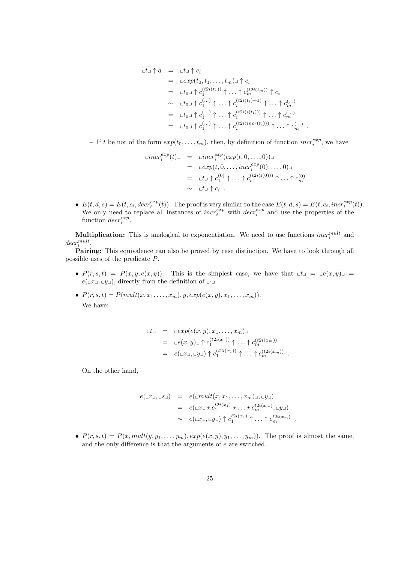$$
\begin{array}{rcl}\n\mathsf{L}t \sqcup \uparrow d & = & \mathsf{L}t \sqcup \uparrow c_i \\
& = & \mathsf{L}exp(t_0, t_1, \dots, t_m) \sqcup \uparrow c_i \\
& = & \mathsf{L}t_0 \sqcup \uparrow c_1^{(t2i(t_1))} \uparrow \dots \uparrow c_m^{(t2i(t_m))} \uparrow c_i \\
& \sim & \mathsf{L}t_0 \sqcup \uparrow c_1^{(\dots)} \uparrow \dots \uparrow c_i^{(t2i(t_i)+1)} \uparrow \dots \uparrow c_m^{(\dots)} \\
& = & \mathsf{L}t_0 \sqcup \uparrow c_1^{(\dots)} \uparrow \dots \uparrow c_i^{(t2i(\mathsf{s}(t_i)))} \uparrow \dots \uparrow c_m^{(\dots)} \\
& = & \mathsf{L}t_0 \sqcup \uparrow c_1^{(\dots)} \uparrow \dots \uparrow c_i^{(t2i(\mathsf{incr}(t_i)))} \uparrow \dots \uparrow c_m^{(\dots)}\n\end{array}.
$$

- If t be not of the form  $exp(t_0, \ldots, t_m)$ , then, by definition of function  $inc_i^{exp}$ , we have

$$
\begin{array}{rcl}\n\text{L} \text{incr}_{i}^{exp}(t) \square & = & \text{L} \text{incr}_{i}^{exp}(exp(t,0,\dots,0)) \square \\
& = & \text{L} \text{exp}(t,0,\dots, \text{incr}_{i}^{exp}(0),\dots,0) \square \\
& = & \text{L} \text{L} \perp \uparrow c_{i}^{(0)} \uparrow \dots \uparrow c_{i}^{(t2i(\mathfrak{s}(0)))} \uparrow \dots \uparrow c_{m}^{(0)} \\
&\sim & \text{L} \text{L} \perp \uparrow c_{i}\n\end{array}
$$

•  $E(t, d, s) = E(t, c_i, \text{dec}_i^{exp}(t))$ . The proof is very similar to the case  $E(t, d, s) = E(t, c_i, \text{inc}_i^{exp}(t))$ . We only need to replace all instances of  $incr_i^{exp}$  with  $decr_i^{exp}$  and use the properties of the function  $decr_i^{exp}$ .

**Multiplication:** This is analogical to exponentiation. We need to use functions  $\text{inc}r_i^{mult}$  and  $decr_i^{mult}$ .

Pairing: This equivalence can also be proved by case distinction. We have to look through all possible uses of the predicate P.

- $P(r, s, t) = P(x, y, e(x, y))$ . This is the simplest case, we have that  $\iota_t = \iota_e(x, y) =$  $e(\Box x \Box, \Box y \Box)$ , directly from the definition of  $\Box \Box$
- $P(r, s, t) = P(mult(x, x_1, \ldots, x_m), y, exp(e(x, y), x_1, \ldots, x_m)).$ We have:

$$
\begin{array}{rcl}\n\mathsf{L}t \mathsf{J} & = & \mathsf{L}exp(e(x, y), x_1, \dots, x_m) \mathsf{J} \\
& = & \mathsf{L}e(x, y) \mathsf{J} \uparrow c_1^{(t2i(x_1))} \uparrow \dots \uparrow c_m^{(t2i(x_m))} \\
& = & e(\mathsf{L}x \mathsf{J}, \mathsf{L}y \mathsf{J}) \uparrow c_1^{(t2i(x_1))} \uparrow \dots \uparrow c_m^{(t2i(x_m))} \ .\n\end{array}
$$

On the other hand,

$$
e(\llcorner r \lrcorner, \llcorner s \lrcorner) = e(\llcorner mult(x, x_1, \ldots, x_m) \lrcorner, \llcorner y \lrcorner)
$$
  
\n
$$
= e(\llcorner x \lrcorner \star c_1^{t2i(x_1)} \star \ldots \star c_m^{t2i(x_m)}, \llcorner y \lrcorner)
$$
  
\n
$$
\sim e(\llcorner x \lrcorner, \llcorner y \lrcorner) \uparrow c_1^{t2i(x_1)} \uparrow \ldots \uparrow c_m^{t2i(x_m)}.
$$

•  $P(r, s, t) = P(x, mult(y, y_1, \ldots, y_m), exp(e(x, y), y_1, \ldots, y_m)).$  The proof is almost the same, and the only difference is that the arguments of e are switched.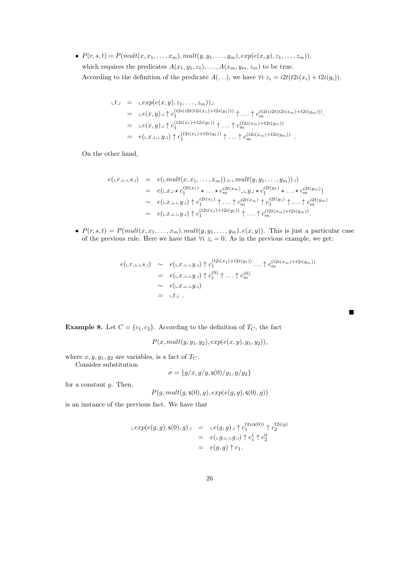•  $P(r, s, t) = P(mult(x, x_1, \ldots, x_m), mult(y, y_1, \ldots, y_m), exp(e(x, y), z_1, \ldots, z_m)),$ which requires the predicates  $A(x_1, y_1, z_1), \ldots, A(x_m, y_m, z_m)$  to be true. According to the definition of the predicate  $A(\ldots)$ , we have  $\forall i \; z_i = i2t(t2i(x_i) + t2i(y_i)).$ 

$$
\begin{array}{rcl}\n\mathbf{L} \mathbf{L} \mathbf{L} &=& \mathbf{L} \exp(e(x, y), z_1, \dots, z_m)) \mathbf{L} \\
&=& \mathbf{L} \mathbf{e}(x, y) \mathbf{L} \uparrow c_1^{(12i(22t(22i(x_1) + t2i(y_1)))} \uparrow \dots \uparrow c_m^{(t2i(22t(22i(x_m) + t2i(y_m)))} \\
&=& \mathbf{L} \mathbf{e}(x, y) \mathbf{L} \uparrow c_1^{(t2i(x_1) + t2i(y_1))} \uparrow \dots \uparrow c_m^{(t2i(x_m) + t2i(y_m))} \\
&=& e(\mathbf{L} \mathbf{L} \mathbf{L}, \mathbf{L} \mathbf{L} \mathbf{L} \uparrow \uparrow c_1^{(t2i(x_1) + t2i(y_1))} \uparrow \dots \uparrow c_m^{(t2i(x_m) + t2i(y_m))}.\n\end{array}
$$

On the other hand,

$$
e(\mathbf{x}_1, \mathbf{x}_2) = e(\mathbf{x}_1, \mathbf{x}_1, \dots, \mathbf{x}_m)) \mathbf{x}_1 \mathbf{x}_2 \mathbf{x}_3 \mathbf{x}_4 \mathbf{x}_5)
$$
  
\n
$$
= e(\mathbf{x}_1 \star c_1^{i2t(x_1)} \star \ldots \star c_m^{i2t(x_m)}, \mathbf{x}_2 \star c_1^{i2t(y_1)} \star \ldots \star c_m^{i2t(y_m)})
$$
  
\n
$$
\sim e(\mathbf{x}_1, \mathbf{x}_2) + c_1^{i2t(x_1)} \uparrow \ldots \uparrow c_m^{i2t(x_m)} \uparrow c_1^{i2t(y_1)} \uparrow \ldots \uparrow c_m^{i2t(y_m)}
$$
  
\n
$$
\sim e(\mathbf{x}_1, \mathbf{x}_2) + c_1^{i2t(x_1) + i2i(y_1)} \uparrow \ldots \uparrow c_m^{i2t(x_m) + t2i(y_m)}.
$$

•  $P(r, s, t) = P(mult(x, x_1, \ldots, x_m), mult(y, y_1, \ldots, y_m), e(x, y))$ . This is just a particular case of the previous rule. Here we have that  $\forall i \ z_i = 0$ . As in the previous example, we get:

$$
e(\llcorner r \lrcorner, \llcorner s \lrcorner) \sim e(\llcorner x \lrcorner, \llcorner y \lrcorner) \uparrow c_1^{(t2i(x_1) + t2i(y_1))} \cdots \uparrow c_m^{(t2i(x_m) + t2i(y_m))}
$$
  
=  $e(\llcorner x \lrcorner, \llcorner y \lrcorner) \uparrow c_1^{(0)} \uparrow \cdots \uparrow c_m^{(0)}$   
 $\sim e(\llcorner x \lrcorner, \llcorner y \lrcorner)$   
=  $\llcorner t \lrcorner$ 

 $\blacksquare$ 

**Example 8.** Let  $C = \{c_1, c_2\}$ . According to the definition of  $T_C$ , the fact

 $P(x, mult(y, y_1, y_2), exp(e(x, y), y_1, y_2)),$ 

where  $x, y, y_1, y_2$  are variables, is a fact of  $T_C$ .

Consider substitution

$$
\sigma = \{g/x, g/y, \mathsf{s}(0)/y_1, g/y_2\}
$$

for a constant  $g$ . Then,

$$
P(g, mult(g, s(0), g), exp(e(g, g), s(0), g))
$$

is an instance of the previous fact. We have that

$$
\begin{array}{rcl}\n\text{L}exp(e(g,g),\mathsf{s}(0),g) \sqcup & = & \text{L}e(g,g) \sqcup \uparrow c_1^{t2i(\mathsf{s}(0))} \uparrow c_2^{t2i(g)} \\
& = & e(\sqcup g \sqcup, \sqcup g \sqcup) \uparrow c_1^1 \uparrow c_2^0 \\
& = & e(g,g) \uparrow c_1.\n\end{array}
$$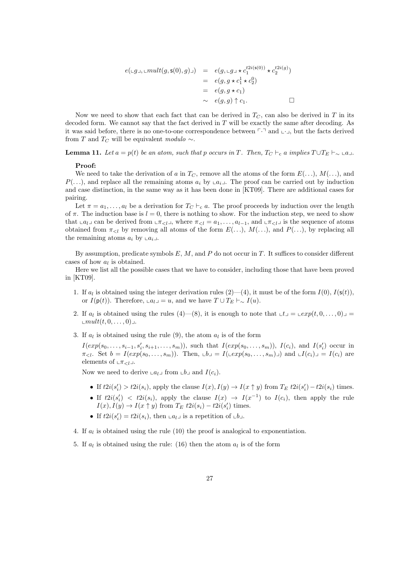$$
e(\mathbf{L}g\mathbf{L}, \mathbf{L}mult(g, \mathbf{s}(0), g)\mathbf{L}) = e(g, \mathbf{L}g\mathbf{L} \star c_1^{t2i(\mathbf{s}(0))} \star c_2^{t2i(g)})
$$
  
\n
$$
= e(g, g \star c_1^1 \star c_2^0)
$$
  
\n
$$
= e(g, g \star c_1)
$$
  
\n
$$
\sim e(g, g) \uparrow c_1.
$$

Now we need to show that each fact that can be derived in  $T_c$ , can also be derived in T in its decoded form. We cannot say that the fact derived in  $T$  will be exactly the same after decoding. As it was said before, there is no one-to-one correspondence between  $\lceil \cdot \rceil$  and  $\lceil \cdot \rceil$ , but the facts derived from T and  $T_C$  will be equivalent modulo ∼.

**Lemma 11.** Let  $a = p(t)$  be an atom, such that p occurs in T. Then,  $T_C \vdash_c a$  implies  $T \cup T_E \vdash_{\sim} \bot a$ .

#### Proof:

We need to take the derivation of a in  $T_C$ , remove all the atoms of the form  $E(\ldots)$ ,  $M(\ldots)$ , and  $P(\ldots)$ , and replace all the remaining atoms  $a_i$  by  $\sqcup a_i \sqcup$ . The proof can be carried out by induction and case distinction, in the same way as it has been done in [KT09]. There are additional cases for pairing.

Let  $\pi = a_1, \ldots, a_l$  be a derivation for  $T_C \vdash_c a$ . The proof proceeds by induction over the length of  $\pi$ . The induction base is  $l = 0$ , there is nothing to show. For the induction step, we need to show that  $\text{La}_l$  can be derived from  $\text{La}_l = \pi_{l}$ , where  $\pi_{l} = a_1, \ldots, a_{l-1}$ , and  $\text{La}_l = \text{La}_l$  is the sequence of atoms obtained from  $\pi_{\leq l}$  by removing all atoms of the form  $E(...)$ ,  $M(...)$ , and  $P(...)$ , by replacing all the remaining atoms  $a_i$  by  $\text{L}a_i$ .

By assumption, predicate symbols  $E, M$ , and  $P$  do not occur in  $T$ . It suffices to consider different cases of how  $a_l$  is obtained.

Here we list all the possible cases that we have to consider, including those that have been proved in [KT09].

- 1. If  $a_l$  is obtained using the integer derivation rules  $(2)$ — $(4)$ , it must be of the form  $I(0)$ ,  $I(\mathsf{s}(t))$ , or  $I(\mathbf{p}(t))$ . Therefore, ∟ $a_l = u$ , and we have  $T \cup T_E \vdash \sim I(u)$ .
- 2. If  $a_l$  is obtained using the rules (4)–(8), it is enough to note that  $\iota_t = \iota exp(t, 0, \ldots, 0) =$  $\mathsf{L}mult(t, 0, \ldots, 0)$ .
- 3. If  $a_l$  is obtained using the rule (9), the atom  $a_l$  is of the form

 $I(exp(s_0, \ldots, s_{i-1}, s'_i, s_{i+1}, \ldots, s_m))$ , such that  $I(exp(s_0, \ldots, s_m))$ ,  $I(c_i)$ , and  $I(s'_i)$  occur in  $\pi_{< l}$ . Set  $b = I(exp(s_0, \ldots, s_m))$ . Then,  $\Box b = I(\Box exp(s_0, \ldots, s_m))$  and  $\Box I(c_i) = I(c_i)$  are elements of  $\mathcal{L}\pi_{\leq l}$ .

Now we need to derive  $\text{L}a_l$  from  $\text{L}b_l$  and  $I(c_i)$ .

- If  $t2i(s'_i) > t2i(s_i)$ , apply the clause  $I(x)$ ,  $I(y) \to I(x \uparrow y)$  from  $T_E t2i(s'_i) t2i(s_i)$  times.
- If  $t2i(s_i') < t2i(s_i)$ , apply the clause  $I(x) \rightarrow I(x^{-1})$  to  $I(c_i)$ , then apply the rule  $I(x), I(y) \to I(x \uparrow y)$  from  $T_E$   $t2i(s_i) - t2i(s'_i)$  times.
- If  $t2i(s'_i) = t2i(s_i)$ , then  $\text{L}a_i \text{ is a repetition of } \text{L}b \text{.}$
- 4. If  $a_l$  is obtained using the rule (10) the proof is analogical to exponentiation.
- 5. If  $a_l$  is obtained using the rule: (16) then the atom  $a_l$  is of the form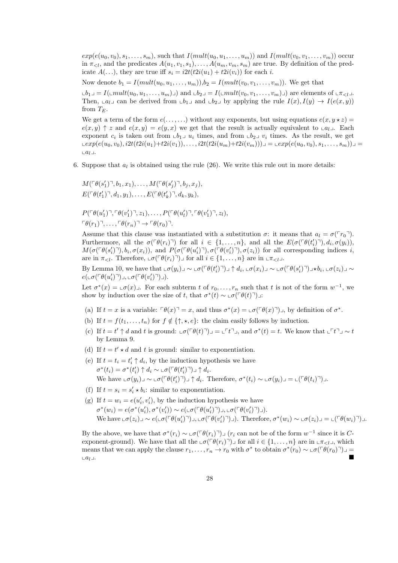$exp(e(u_0, v_0), s_1, \ldots, s_m)$ , such that  $I(mult(u_0, u_1, \ldots, u_m))$  and  $I(mult(v_0, v_1, \ldots, v_m))$  occur in  $\pi_{\leq l}$ , and the predicates  $A(u_1, v_1, s_1), \ldots, A(u_m, v_m, s_m)$  are true. By definition of the predicate  $A(\ldots)$ , they are true iff  $s_i = i2t(t2i(u_1) + t2i(v_i))$  for each i.

Now denote  $b_1 = I(mult(u_0, u_1, \dots, u_m))$ ,  $b_2 = I(mult(v_0, v_1, \dots, v_m))$ . We get that

 $\Box b_1 = I(\Box mult(u_0, u_1, \ldots, u_m))$  and  $\Box b_2 = I(\Box mult(v_0, v_1, \ldots, v_m))$  are elements of  $\Box \pi_{\leq l}$ . Then,  $\Box a_l$  can be derived from  $\Box b_1$  and  $\Box b_2$  by applying the rule  $I(x), I(y) \rightarrow I(e(x, y))$ from  $T_E$ .

We get a term of the form  $e(\ldots, \ldots)$  without any exponents, but using equations  $e(x, y \star z)$  =  $e(x, y) \uparrow z$  and  $e(x, y) = e(y, x)$  we get that the result is actually equivalent to  $\Box a_i \Box$ . Each exponent  $c_i$  is taken out from  $b_1 \square u_i$  times, and from  $b_2 \square v_i$  times. As the result, we get  $z \in \exp(e(u_0, v_0), i2t(t2i(u_1)+t2i(v_1)), \ldots, i2t(t2i(u_m)+t2i(v_m))) = z \in \exp(e(u_0, v_0), s_1, \ldots, s_m)) = z$  $\sqcup a_{l}\sqcup$ 

6. Suppose that  $a_l$  is obtained using the rule (26). We write this rule out in more details:

$$
M(\ulcorner \theta(s'_1) \urcorner, b_1, x_1), \ldots, M(\ulcorner \theta(s'_j) \urcorner, b_j, x_j),
$$
  

$$
E(\ulcorner \theta(t'_1) \urcorner, d_1, y_1), \ldots, E(\ulcorner \theta(t'_k) \urcorner, d_k, y_k),
$$

$$
P(\ulcorner \theta(u_1')\urcorner, \ulcorner \theta(v_1')\urcorner, z_1), \ldots, P(\ulcorner \theta(u_l')\urcorner, \ulcorner \theta(v_1')\urcorner, z_l),
$$
  

$$
\ulcorner \theta(r_1)\urcorner, \ldots, \ulcorner \theta(r_n)\urcorner \rightarrow \ulcorner \theta(r_0)\urcorner.
$$

Assume that this clause was instantiated with a substitution  $\sigma$ : it means that  $a_l = \sigma({\epsilon r_0})$ . Furthermore, all the  $\sigma(\ulcorner\theta(r_i)\urcorner)$  for all  $i \in \{1,\ldots,n\}$ , and all the  $E(\sigma(\ulcorner\theta(t_i')\urcorner), d_i, \sigma(y_i)),$  $M(\sigma(\ulcorner\theta(s'_i)\urcorner), b_i, \sigma(x_i)),$  and  $P(\sigma(\ulcorner\theta(u'_i)\urcorner), \sigma(\ulcorner\theta(v'_i)\urcorner), \sigma(z_i))$  for all corresponding indices i, are in  $\pi_{\leq l}$ . Therefore,  $\pi(\pi(\theta(r_i)^{\top})$  for all  $i \in \{1, ..., n\}$  are in  $\pi_{\leq l}$ .

By Lemma 10, we have that  $\text{Log}(y_i) \rightarrow \text{Log}(\text{Log}(t_i') \rightarrow \text{Log}(x_i) \rightarrow \text{Log}(x_i) \rightarrow \text{Log}(f \rightarrow \text{Log}(s_i') \rightarrow \text{Log}(z_i) \rightarrow \text{Log}(z_i) \rightarrow \text{Log}(z_i) \rightarrow \text{Log}(z_i) \rightarrow \text{Log}(z_i)$  $e\bigl(\log(\ulcorner\sigma(\ulcorner\theta(u_i')\urcorner)\lrcorner,\llcorner\sigma(\ulcorner\theta(v_i')\urcorner)\lrcorner)\bigr).$ 

Let  $\sigma^*(x) = \sigma(x)$ . For each subterm t of  $r_0, \ldots, r_n$  such that t is not of the form  $w^{-1}$ , we show by induction over the size of t, that  $\sigma^*(t) \sim L \sigma(\sigma(t))$ .

- (a) If  $t = x$  is a variable:  $\ulcorner \theta(x) \urcorner = x$ , and thus  $\sigma^*(x) = \text{Tr}(\ulcorner \theta(x) \urcorner) \urcorner$ , by definition of  $\sigma^*$ .
- (b) If  $t = f(t_1, \ldots, t_n)$  for  $f \notin \{\uparrow, \star, e\}$ : the claim easily follows by induction.
- (c) If  $t = t' \uparrow d$  and t is ground:  $\text{L}\sigma(\ulcorner \theta(t) \urcorner) \urcorner = \text{L}\ulcorner t \urcorner \urcorner$ , and  $\sigma^*(t) = t$ . We know that  $\text{L}\ulcorner t \urcorner \urcorner \urcorner \rightharpoonup t$ by Lemma 9.
- (d) If  $t = t' \star d$  and t is ground: similar to exponentiation.
- (e) If  $t = t_i = t'_i \uparrow d_i$ , by the induction hypothesis we have  $\sigma^*(t_i) = \sigma^*(t'_i) \uparrow d_i \sim \text{L}\sigma(\ulcorner \theta(t'_i) \urcorner) \urcorner \uparrow d_i.$ We have  $\text{Log}(y_i) \to \text{Log}(\text{Log}(t_i') \to \text{Log}(t_i))$  Therefore,  $\sigma^*(t_i) \sim \text{Log}(y_i) \to \text{Log}(t_i) \to \text{Log}(t_i)$ .
- (f) If  $t = s_i = s'_i * b_i$ : similar to exponentiation.
- (g) If  $t = w_i = e(u'_i, v'_i)$ , by the induction hypothesis we have  $\sigma^*(w_i) = e(\sigma^*(u_i'), \sigma^*(v_i')) \sim e(\text{log}(\text{log}(u_i')) \text{log}(\sigma(v_i')) \text{log}(v_i'))$ We have  $\text{Log}(z_i) \text{Log}(f(\theta(u_i')))$  ,  $\text{Log}(f(\theta(v_i')))$ ). Therefore,  $\sigma^*(w_i) \sim \text{Log}(z_i)$   $= \text{Log}(w_i)$ .

By the above, we have that  $\sigma^*(r_i) \sim \sigma(\sigma(r_i)^{\eta})$  ( $r_i$  can not be of the form  $w^{-1}$  since it is Cexponent-ground). We have that all the  $\text{L}\sigma(\ulcorner\theta(r_i)\urcorner)$  for all  $i \in \{1,\ldots,n\}$  are in  $\text{L}\pi_{< l}$ , which means that we can apply the clause  $r_1, \ldots, r_n \to r_0$  with  $\sigma^*$  to obtain  $\sigma^*(r_0) \sim \sigma(\sigma(r_0)\tau)$  $\mathcal{L}a_l\mathcal{L}$ .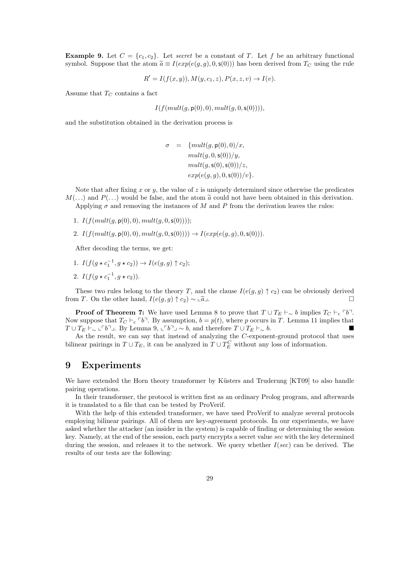**Example 9.** Let  $C = \{c_1, c_2\}$ . Let secret be a constant of T. Let f be an arbitrary functional symbol. Suppose that the atom  $\tilde{a} \equiv I(exp(e(g, g), 0, s(0)))$  has been derived from  $T_C$  using the rule

$$
R' = I(f(x, y)), M(y, c_1, z), P(x, z, v) \to I(v).
$$

Assume that  $T_C$  contains a fact

 $I(f(mult(q, p(0), 0), mult(q, 0, s(0))))$ ,

and the substitution obtained in the derivation process is

$$
\sigma = \{mult(g, \mathbf{p}(0), 0)/x,
$$
  
\n
$$
mult(g, 0, \mathbf{s}(0))/y,
$$
  
\n
$$
mult(g, \mathbf{s}(0), \mathbf{s}(0))/z,
$$
  
\n
$$
exp(e(g, g), 0, \mathbf{s}(0))/v\}.
$$

Note that after fixing x or y, the value of z is uniquely determined since otherwise the predicates  $M(\ldots)$  and  $P(\ldots)$  would be false, and the atom  $\tilde{a}$  could not have been obtained in this derivation. Applying  $\sigma$  and removing the instances of M and P from the derivation leaves the rules:

- 1.  $I(f(mult(g, p(0), 0), mult(g, 0, s(0))))$ ;
- 2.  $I(f(mult(g, p(0), 0), mult(g, 0, s(0)))) \rightarrow I(exp(e(g, g), 0, s(0))).$

After decoding the terms, we get:

- 1.  $I(f(g \star c_1^{-1}, g \star c_2)) \to I(e(g, g) \uparrow c_2);$
- 2.  $I(f(g \star c_1^{-1}, g \star c_2)).$

These two rules belong to the theory T, and the clause  $I(e(q, q) \uparrow c_2)$  can be obviously derived from T. On the other hand,  $I(e(g, g) \uparrow c_2) \sim L\tilde{a}_1$ .

**Proof of Theorem 7:** We have used Lemma 8 to prove that  $T \cup T_F \vdash_{\sim} b$  implies  $T_C \vdash_{\sim} \ulcorner b \urcorner$ . Now suppose that  $T_C \vdash_c \ulcorner b\urcorner$ . By assumption,  $b = p(t)$ , where p occurs in T. Lemma 11 implies that  $T \cup T_E \vdash_{\sim} \bot \ulcorner b \urcorner$  By Lemma 9,  $\bot \ulcorner b \urcorner \bot \sim b$ , and therefore  $T \cup T_E \vdash_{\sim} b$ .

As the result, we can say that instead of analyzing the C-exponent-ground protocol that uses bilinear pairings in  $T \cup T_E$ , it can be analyzed in  $T \cup T_E^C$  without any loss of information.

## 9 Experiments

We have extended the Horn theory transformer by Küsters and Truderung [KT09] to also handle pairing operations.

In their transformer, the protocol is written first as an ordinary Prolog program, and afterwards it is translated to a file that can be tested by ProVerif.

With the help of this extended transformer, we have used ProVerif to analyze several protocols employing bilinear pairings. All of them are key-agreement protocols. In our experiments, we have asked whether the attacker (an insider in the system) is capable of finding or determining the session key. Namely, at the end of the session, each party encrypts a secret value sec with the key determined during the session, and releases it to the network. We query whether  $I(sec)$  can be derived. The results of our tests are the following: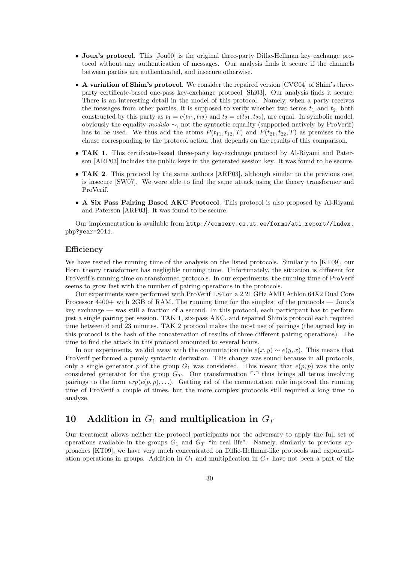- Joux's protocol. This [Jou00] is the original three-party Diffie-Hellman key exchange protocol without any authentication of messages. Our analysis finds it secure if the channels between parties are authenticated, and insecure otherwise.
- A variation of Shim's protocol. We consider the repaired version [CVC04] of Shim's threeparty certificate-based one-pass key-exchange protocol [Shi03]. Our analysis finds it secure. There is an interesting detail in the model of this protocol. Namely, when a party receives the messages from other parties, it is supposed to verify whether two terms  $t_1$  and  $t_2$ , both constructed by this party as  $t_1 = e(t_{11}, t_{12})$  and  $t_2 = e(t_{21}, t_{22})$ , are equal. In symbolic model, obviously the equality modulo  $\sim$ , not the syntactic equality (supported natively by ProVerif) has to be used. We thus add the atoms  $P(t_{11}, t_{12}, T)$  and  $P(t_{21}, t_{22}, T)$  as premises to the clause corresponding to the protocol action that depends on the results of this comparison.
- **TAK 1.** This certificate-based three-party key-exchange protocol by Al-Riyami and Paterson [ARP03] includes the public keys in the generated session key. It was found to be secure.
- **TAK 2**. This protocol by the same authors [ARP03], although similar to the previous one, is insecure [SW07]. We were able to find the same attack using the theory transformer and ProVerif.
- A Six Pass Pairing Based AKC Protocol. This protocol is also proposed by Al-Riyami and Paterson [ARP03]. It was found to be secure.

Our implementation is available from http://comserv.cs.ut.ee/forms/ati\_report//index. php?year=2011.

#### Efficiency

We have tested the running time of the analysis on the listed protocols. Similarly to [KT09], our Horn theory transformer has negligible running time. Unfortunately, the situation is different for ProVerif's running time on transformed protocols. In our experiments, the running time of ProVerif seems to grow fast with the number of pairing operations in the protocols.

Our experiments were performed with ProVerif 1.84 on a 2.21 GHz AMD Athlon 64X2 Dual Core Processor 4400+ with 2GB of RAM. The running time for the simplest of the protocols — Joux's key exchange — was still a fraction of a second. In this protocol, each participant has to perform just a single pairing per session. TAK 1, six-pass AKC, and repaired Shim's protocol each required time between 6 and 23 minutes. TAK 2 protocol makes the most use of pairings (the agreed key in this protocol is the hash of the concatenation of results of three different pairing operations). The time to find the attack in this protocol amounted to several hours.

In our experiments, we did away with the commutation rule  $e(x, y) \sim e(y, x)$ . This means that ProVerif performed a purely syntactic derivation. This change was sound because in all protocols, only a single generator p of the group  $G_1$  was considered. This meant that  $e(p, p)$  was the only considered generator for the group  $G_T$ . Our transformation  $\ulcorner\cdot\urcorner$  thus brings all terms involving pairings to the form  $exp(e(p, p), \ldots)$ . Getting rid of the commutation rule improved the running time of ProVerif a couple of times, but the more complex protocols still required a long time to analyze.

## 10 Addition in  $G_1$  and multiplication in  $G_T$

Our treatment allows neither the protocol participants nor the adversary to apply the full set of operations available in the groups  $G_1$  and  $G_T$  "in real life". Namely, similarly to previous approaches [KT09], we have very much concentrated on Diffie-Hellman-like protocols and exponentiation operations in groups. Addition in  $G_1$  and multiplication in  $G_T$  have not been a part of the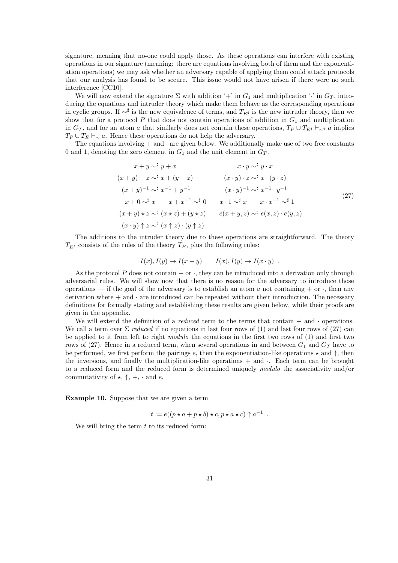signature, meaning that no-one could apply those. As these operations can interfere with existing operations in our signature (meaning: there are equations involving both of them and the exponentiation operations) we may ask whether an adversary capable of applying them could attack protocols that our analysis has found to be secure. This issue would not have arisen if there were no such interference [CC10].

We will now extend the signature  $\Sigma$  with addition '+' in  $G_1$  and multiplication ' $\cdot$ ' in  $G_T$ , introducing the equations and intruder theory which make them behave as the corresponding operations in cyclic groups. If  $\sim^{\sharp}$  is the new equivalence of terms, and  $T_{E^{\sharp}}$  is the new intruder theory, then we show that for a protocol  $P$  that does not contain operations of addition in  $G_1$  and multiplication in  $G_T$ , and for an atom a that similarly does not contain these operations,  $T_P \cup T_{E^{\sharp}} \vdash_{\sim^{\sharp}} a$  implies  $T_P \cup T_E \vdash_{\sim} a$ . Hence these operations do not help the adversary.

The equations involving  $+$  and  $\cdot$  are given below. We additionally make use of two free constants 0 and 1, denoting the zero element in  $G_1$  and the unit element in  $G_T$ .

$$
x + y \sim^{\sharp} y + x \qquad x \cdot y \sim^{\sharp} y \cdot x
$$
  
\n
$$
(x + y) + z \sim^{\sharp} x + (y + z) \qquad (x \cdot y) \cdot z \sim^{\sharp} x \cdot (y \cdot z)
$$
  
\n
$$
(x + y)^{-1} \sim^{\sharp} x^{-1} + y^{-1} \qquad (x \cdot y)^{-1} \sim^{\sharp} x^{-1} \cdot y^{-1}
$$
  
\n
$$
x + 0 \sim^{\sharp} x \qquad x + x^{-1} \sim^{\sharp} 0 \qquad x \cdot 1 \sim^{\sharp} x \qquad x \cdot x^{-1} \sim^{\sharp} 1
$$
  
\n
$$
(x + y) \star z \sim^{\sharp} (x \star z) + (y \star z) \qquad e(x + y, z) \sim^{\sharp} e(x, z) \cdot e(y, z)
$$
  
\n
$$
(x \cdot y) \uparrow z \sim^{\sharp} (x \uparrow z) \cdot (y \uparrow z)
$$
\n(27)

The additions to the intruder theory due to these operations are straightforward. The theory  $T_{E^{\sharp}}$  consists of the rules of the theory  $T_E$ , plus the following rules:

$$
I(x), I(y) \to I(x+y) \qquad I(x), I(y) \to I(x \cdot y) .
$$

As the protocol  $P$  does not contain  $+$  or  $\cdot$ , they can be introduced into a derivation only through adversarial rules. We will show now that there is no reason for the adversary to introduce those operations — if the goal of the adversary is to establish an atom a not containing  $+$  or  $\cdot$ , then any derivation where  $+$  and  $\cdot$  are introduced can be repeated without their introduction. The necessary definitions for formally stating and establishing these results are given below, while their proofs are given in the appendix.

We will extend the definition of a *reduced* term to the terms that contain  $+$  and  $\cdot$  operations. We call a term over  $\Sigma$  *reduced* if no equations in last four rows of (1) and last four rows of (27) can be applied to it from left to right modulo the equations in the first two rows of (1) and first two rows of (27). Hence in a reduced term, when several operations in and between  $G_1$  and  $G_T$  have to be performed, we first perform the pairings e, then the exponentiation-like operations  $\star$  and  $\uparrow$ , then the inversions, and finally the multiplication-like operations  $+$  and  $\cdot$ . Each term can be brought to a reduced form and the reduced form is determined uniquely modulo the associativity and/or commutativity of  $\star$ ,  $\uparrow$ ,  $+$ ,  $\cdot$  and  $e$ .

Example 10. Suppose that we are given a term

$$
t := e((p \star a + p \star b) \star c, p \star a \star c) \uparrow a^{-1} .
$$

We will bring the term  $t$  to its reduced form: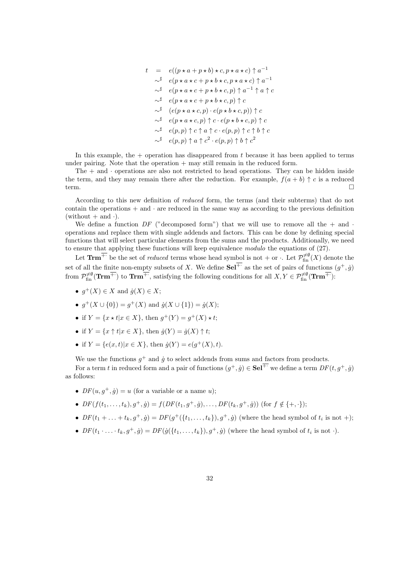$$
t = e((p \star a + p \star b) \star c, p \star a \star c) \uparrow a^{-1}
$$
  
\n
$$
\sim^{\sharp} e(p \star a \star c + p \star b \star c, p \star a \star c) \uparrow a^{-1}
$$
  
\n
$$
\sim^{\sharp} e(p \star a \star c + p \star b \star c, p) \uparrow a^{-1} \uparrow a \uparrow c
$$
  
\n
$$
\sim^{\sharp} e(p \star a \star c + p \star b \star c, p) \uparrow c
$$
  
\n
$$
\sim^{\sharp} (e(p \star a \star c, p) \cdot e(p \star b \star c, p)) \uparrow c
$$
  
\n
$$
\sim^{\sharp} e(p \star a \star c, p) \uparrow c \cdot e(p \star b \star c, p) \uparrow c
$$
  
\n
$$
\sim^{\sharp} e(p, p) \uparrow c \uparrow a \uparrow c \cdot e(p, p) \uparrow c \uparrow b \uparrow c
$$
  
\n
$$
\sim^{\sharp} e(p, p) \uparrow a \uparrow c^2 \cdot e(p, p) \uparrow b \uparrow c^2
$$

In this example, the  $+$  operation has disappeared from t because it has been applied to terms under pairing. Note that the operation  $+$  may still remain in the reduced form.

The  $+$  and  $\cdot$  operations are also not restricted to head operations. They can be hidden inside the term, and they may remain there after the reduction. For example,  $f(a + b) \uparrow c$  is a reduced term.

According to this new definition of reduced form, the terms (and their subterms) that do not contain the operations  $+$  and  $\cdot$  are reduced in the same way as according to the previous definition (without  $+$  and  $\cdot$ ).

We define a function DF ("decomposed form") that we will use to remove all the  $+$  and  $\cdot$ operations and replace them with single addends and factors. This can be done by defining special functions that will select particular elements from the sums and the products. Additionally, we need to ensure that applying these functions will keep equivalence modulo the equations of (27).

Let  $\text{Trm}^{\overline{+}}$  be the set of *reduced* terms whose head symbol is not + or  $\cdot$ . Let  $\mathcal{P}_{\text{fin}}^{\neq \emptyset}(X)$  denote the set of all the finite non-empty subsets of X. We define  $\text{Sel}^{\overline{+}}$  as the set of pairs of functions  $(g^+,g)$ from  $\mathcal{P}_{\text{fin}}^{\neq \emptyset}(\mathbf{Trm}^{\overline{+}})$  to  $\mathbf{Trm}^{\overline{+}}$ , satisfying the following conditions for all  $X, Y \in \mathcal{P}_{\text{fin}}^{\neq \emptyset}(\mathbf{Trm}^{\overline{+}})$ :

- $g^+(X) \in X$  and  $\dot{g}(X) \in X$ ;
- $g^+(X \cup \{0\}) = g^+(X)$  and  $\dot{g}(X \cup \{1\}) = \dot{g}(X);$
- if  $Y = \{x \star t | x \in X\}$ , then  $g^+(Y) = g^+(X) \star t$ ;
- if  $Y = \{x \uparrow t | x \in X\}$ , then  $\dot{g}(Y) = \dot{g}(X) \uparrow t$ ;
- if  $Y = \{e(x,t) | x \in X\}$ , then  $\dot{g}(Y) = e(g^+(X), t)$ .

We use the functions  $g^+$  and  $\dot{g}$  to select addends from sums and factors from products.

For a term t in reduced form and a pair of functions  $(g^+, \dot{g}) \in \mathbf{Sel}^{\overline{+}}$  we define a term  $DF(t, g^+, \dot{g})$ as follows:

- $DF(u, g^+, \dot{g}) = u$  (for a variable or a name u);
- $DF(f(t_1, ..., t_k), g^+, \dot{g}) = f(DF(t_1, g^+, \dot{g}), ..., DF(t_k, g^+, \dot{g}))$  (for  $f \notin \{+, \cdot\}$ );
- $DF(t_1 + ... + t_k, g^+, \dot{g}) = DF(g^+({t_1},..., t_k), g^+, \dot{g})$  (where the head symbol of  $t_i$  is not +);
- $DF(t_1 \cdot \ldots \cdot t_k, g^+, \dot{g}) = DF(\dot{g}(\{t_1, \ldots, t_k\}), g^+, \dot{g})$  (where the head symbol of  $t_i$  is not  $\cdot$ ).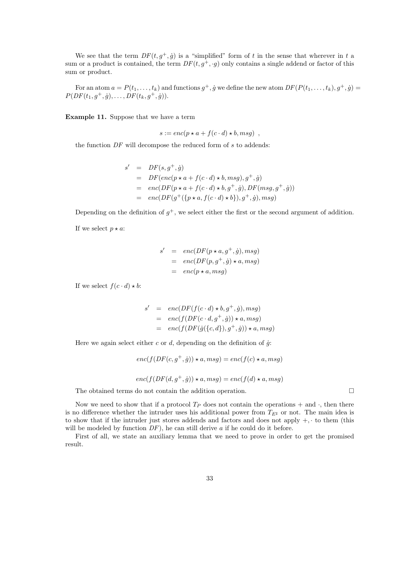We see that the term  $DF(t, g^+, \dot{g})$  is a "simplified" form of t in the sense that wherever in t a sum or a product is contained, the term  $DF(t, g^+, g)$  only contains a single addend or factor of this sum or product.

For an atom  $a = P(t_1, \ldots, t_k)$  and functions  $g^+, \dot{g}$  we define the new atom  $DF(P(t_1, \ldots, t_k), g^+, \dot{g}) =$  $P(DF(t_1, g^+, \dot{g}), \ldots, DF(t_k, g^+, \dot{g})).$ 

Example 11. Suppose that we have a term

$$
s := enc(p \star a + f(c \cdot d) \star b, msg) ,
$$

the function  $DF$  will decompose the reduced form of  $s$  to addends:

$$
s' = DF(s, g^+, \dot{g})
$$
  
= DF(enc(p \* a + f(c · d) \* b, msg), g^+, \dot{g})  
= enc(DF(p \* a + f(c · d) \* b, g^+, \dot{g}), DF(msg, g^+, \dot{g}))  
= enc(DF(g^+({p \* a, f(c · d) \* b}), g^+, \dot{g}), msg)

Depending on the definition of  $g^+$ , we select either the first or the second argument of addition.

If we select  $p \star a$ :

$$
s' = enc(DF(p \star a, g^+, \dot{g}), msg)
$$
  
= enc(DF(p, g^+, \dot{g}) \star a, msg)  
= enc(p \star a, msg)

If we select  $f(c \cdot d) \star b$ :

$$
s' = enc(DF(f(c \cdot d) \star b, g^+, \dot{g}), msg)
$$
  
= enc(f(DF(c \cdot d, g^+, \dot{g})) \star a, msg)  
= enc(f(DF(\dot{g}(\{c, d\}), g^+, \dot{g})) \star a, msg)

Here we again select either c or  $d$ , depending on the definition of  $\dot{g}$ :

 $enc(f(DF(c, q^+, \dot{q})) \star a, msq) = enc(f(c) \star a, msq)$ 

$$
enc(f(DF(d, g+, g)) \star a, msg) = enc(f(d) \star a, msg)
$$

The obtained terms do not contain the addition operation.

Now we need to show that if a protocol  $T_P$  does not contain the operations  $+$  and  $\cdot$ , then there is no difference whether the intruder uses his additional power from  $T_{E^{\sharp}}$  or not. The main idea is to show that if the intruder just stores addends and factors and does not apply  $+, \cdot$  to them (this will be modeled by function  $DF$ ), he can still derive  $a$  if he could do it before.

First of all, we state an auxiliary lemma that we need to prove in order to get the promised result.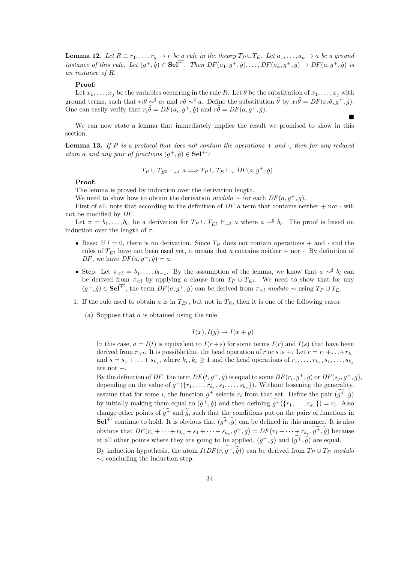**Lemma 12.** Let  $R \equiv r_1, \ldots, r_k \to r$  be a rule in the theory  $T_P \cup T_E$ . Let  $a_1, \ldots, a_k \to a$  be a ground instance of this rule. Let  $(g^+, \dot{g}) \in \mathbf{Sel}^{\overline{+}}$ . Then  $DF(a_1, g^+, \dot{g}), \ldots, DF(a_k, g^+, \dot{g}) \rightarrow DF(a, g^+, \dot{g})$  is an instance of R.

#### Proof:

Let  $x_1, \ldots, x_j$  be the variables occurring in the rule R. Let  $\theta$  be the substitution of  $x_1, \ldots, x_j$  with ground terms, such that  $r_i \theta \sim^{\sharp} a_i$  and  $r \theta \sim^{\sharp} a$ . Define the substitution  $\tilde{\theta}$  by  $x_i \tilde{\theta} = DF(x_i \theta, g^+, \dot{g})$ . One can easily verify that  $r_i \tilde{\theta} = DF(a_i, g^+, \dot{g})$  and  $r \tilde{\theta} = DF(a, g^+, \dot{g})$ .

 $\blacksquare$ 

We can now state a lemma that immediately implies the result we promised to show in this section.

**Lemma 13.** If P is a protocol that does not contain the operations  $+$  and  $\cdot$ , then for any reduced atom a and any pair of functions  $(g^+, \dot{g}) \in \mathbf{Sel}^{\overline{+}}$ .

$$
T_P \cup T_{E^{\sharp}} \vdash_{\sim^{\sharp}} a \Longrightarrow T_P \cup T_E \vdash_{\sim} DF(a, g^+, \dot{g}) .
$$

#### Proof:

The lemma is proved by induction over the derivation length.

We need to show how to obtain the derivation modulo  $\sim$  for each  $DF(a, g^+, g)$ .

First of all, note that according to the definition of  $DF$  a term that contains neither  $+$  nor  $\cdot$  will not be modified by DF.

Let  $\pi = b_1, \ldots, b_l$ , be a derivation for  $T_P \cup T_{E^{\sharp}} \vdash_{\sim^{\sharp}} a$  where  $a \sim^{\sharp} b_l$ . The proof is based on induction over the length of  $\pi$ .

- Base: If  $l = 0$ , there is no derivation. Since  $T_P$  does not contain operations + and · and the rules of  $T_{E^{\sharp}}$  have not been used yet, it means that a contains neither + nor  $\cdot$ . By definition of DF, we have  $DF(a, g^+, \dot{g}) = a$ .
- Step: Let  $\pi_{\leq l} = b_1, \ldots, b_{l-1}$ . By the assumption of the lemma, we know that  $a \sim^{\sharp} b_l$  can be derived from  $\pi_{\leq l}$  by applying a clause from  $T_P \cup T_{E^{\sharp}}$ . We need to show that for any  $(g^+, \dot{g}) \in \mathbf{Sel}^{\overline{+}}$ , the term  $DF(a, g^+, \dot{g})$  can be derived from  $\pi_{\leq l}$  modulo  $\sim$  using  $T_P \cup T_E$ .
- 1. If the rule used to obtain a is in  $T_{E^{\sharp}}$ , but not in  $T_E$ , then it is one of the following cases:
	- (a) Suppose that a is obtained using the rule

$$
I(x), I(y) \to I(x+y) .
$$

In this case,  $a = I(t)$  is equivalent to  $I(r+s)$  for some terms  $I(r)$  and  $I(s)$  that have been derived from  $\pi_{\leq l}$ . It is possible that the head operation of r or s is +. Let  $r = r_1 + ... + r_{k_r}$ and  $s = s_1 + \ldots + s_{k_s}$ , where  $k_r, k_s \ge 1$  and the head operations of  $r_1, \ldots, r_{k_r}, s_1, \ldots, s_{k_s}$ are not  $+$ .

By the definition of DF, the term  $DF(t, g^+, \dot{g})$  is equal to some  $DF(r_i, g^+, \dot{g})$  or  $DF(s_j, g^+, \dot{g})$ , depending on the value of  $g^{\dagger}(\lbrace r_1,\ldots,r_{k_r},s_1,\ldots,s_{k_s}\rbrace)$ . Without lessening the generality, assume that for some *i*, the function  $g^+$  selects  $r_i$  from that set. Define the pair  $(g^+, \tilde{g})$ by initially making them equal to  $(g^+, \dot{g})$  and then defining  $g^+(\lbrace r_1, \ldots, r_{k_r}\rbrace) = r_i$ . Also change other points of  $\widetilde{g^+}$  and  $\widetilde{g}$ , such that the conditions put on the pairs of functions in  $\text{Sel}^+$  continue to hold. It is obvious that  $(g^+, \tilde{g})$  can be defined in this manner. It is also obvious that  $DF(r_1 + \cdots + r_{k_r} + s_1 + \cdots + s_{k_s}, g^+, \dot{g}) = DF(r_1 + \cdots + r_{k_r}, g^+, \tilde{g})$  because at all other points where they are going to be applied,  $(g^+, \dot{g})$  and  $(g^+, \tilde{g})$  are equal. By induction hypothesis, the atom  $I(DF(r, \widetilde{g^+}, \widetilde{g}))$  can be derived from  $T_P \cup T_E$  modulo

∼, concluding the induction step.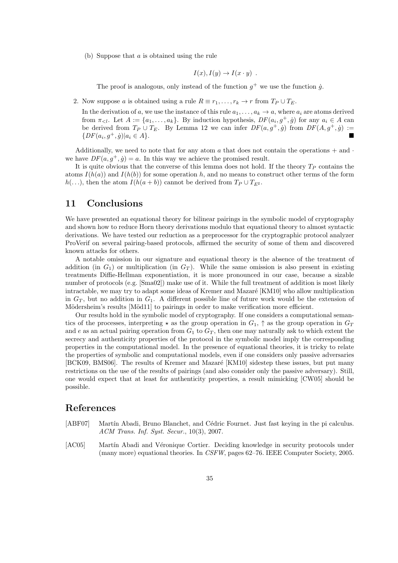(b) Suppose that a is obtained using the rule

$$
I(x), I(y) \to I(x \cdot y) .
$$

The proof is analogous, only instead of the function  $g^+$  we use the function  $\dot{g}$ .

2. Now suppose a is obtained using a rule  $R \equiv r_1, \ldots, r_k \to r$  from  $T_P \cup T_E$ .

In the derivation of a, we use the instance of this rule  $a_1, \ldots, a_k \to a$ , where  $a_i$  are atoms derived from  $\pi_{\leq l}$ . Let  $A := \{a_1, \ldots, a_k\}$ . By induction hypothesis,  $DF(a_i, g^+, \dot{g})$  for any  $a_i \in A$  can be derived from  $T_P \cup T_E$ . By Lemma 12 we can infer  $DF(a, g^+, g)$  from  $DF(A, g^+, g) :=$  $\{DF(a_i, g^+, \dot{g}) | a_i \in A\}.$ 

Additionally, we need to note that for any atom  $a$  that does not contain the operations  $+$  and  $\cdot$ we have  $DF(a, q^+, \dot{q}) = a$ . In this way we achieve the promised result.

It is quite obvious that the converse of this lemma does not hold. If the theory  $T_P$  contains the atoms  $I(h(a))$  and  $I(h(b))$  for some operation h, and no means to construct other terms of the form  $h(\ldots)$ , then the atom  $I(h(a + b))$  cannot be derived from  $T_P \cup T_{E^{\sharp}}$ .

## 11 Conclusions

We have presented an equational theory for bilinear pairings in the symbolic model of cryptography and shown how to reduce Horn theory derivations modulo that equational theory to almost syntactic derivations. We have tested our reduction as a preprocessor for the cryptographic protocol analyzer ProVerif on several pairing-based protocols, affirmed the security of some of them and discovered known attacks for others.

A notable omission in our signature and equational theory is the absence of the treatment of addition (in  $G_1$ ) or multiplication (in  $G_T$ ). While the same omission is also present in existing treatments Diffie-Hellman exponentiation, it is more pronounced in our case, because a sizable number of protocols (e.g. [Sma02]) make use of it. While the full treatment of addition is most likely intractable, we may try to adapt some ideas of Kremer and Mazaré [KM10] who allow multiplication in  $G_T$ , but no addition in  $G_1$ . A different possible line of future work would be the extension of Mödersheim's results [Möd11] to pairings in order to make verification more efficient.

Our results hold in the symbolic model of cryptography. If one considers a computational semantics of the processes, interpreting  $\star$  as the group operation in  $G_1$ ,  $\uparrow$  as the group operation in  $G_T$ and e as an actual pairing operation from  $G_1$  to  $G_T$ , then one may naturally ask to which extent the secrecy and authenticity properties of the protocol in the symbolic model imply the corresponding properties in the computational model. In the presence of equational theories, it is tricky to relate the properties of symbolic and computational models, even if one considers only passive adversaries [BCK09, BMS06]. The results of Kremer and Mazaré [KM10] sidestep these issues, but put many restrictions on the use of the results of pairings (and also consider only the passive adversary). Still, one would expect that at least for authenticity properties, a result mimicking [CW05] should be possible.

## References

- [ABF07] Martín Abadi, Bruno Blanchet, and Cédric Fournet. Just fast keying in the pi calculus. ACM Trans. Inf. Syst. Secur., 10(3), 2007.
- [AC05] Martín Abadi and Véronique Cortier. Deciding knowledge in security protocols under (many more) equational theories. In CSFW, pages 62–76. IEEE Computer Society, 2005.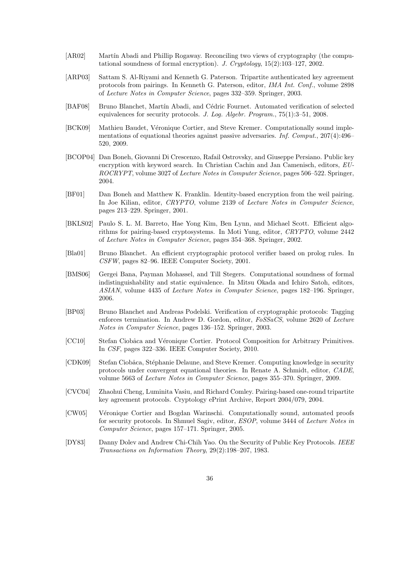- [AR02] Martin Abadi and Phillip Rogaway. Reconciling two views of cryptography (the computational soundness of formal encryption). J. Cryptology, 15(2):103–127, 2002.
- [ARP03] Sattam S. Al-Riyami and Kenneth G. Paterson. Tripartite authenticated key agreement protocols from pairings. In Kenneth G. Paterson, editor, IMA Int. Conf., volume 2898 of Lecture Notes in Computer Science, pages 332–359. Springer, 2003.
- [BAF08] Bruno Blanchet, Martín Abadi, and Cédric Fournet. Automated verification of selected equivalences for security protocols. J. Log. Algebr. Program., 75(1):3–51, 2008.
- [BCK09] Mathieu Baudet, Véronique Cortier, and Steve Kremer. Computationally sound implementations of equational theories against passive adversaries. Inf. Comput., 207(4):496– 520, 2009.
- [BCOP04] Dan Boneh, Giovanni Di Crescenzo, Rafail Ostrovsky, and Giuseppe Persiano. Public key encryption with keyword search. In Christian Cachin and Jan Camenisch, editors, EU-ROCRYPT, volume 3027 of Lecture Notes in Computer Science, pages 506–522. Springer, 2004.
- [BF01] Dan Boneh and Matthew K. Franklin. Identity-based encryption from the weil pairing. In Joe Kilian, editor, CRYPTO, volume 2139 of Lecture Notes in Computer Science, pages 213–229. Springer, 2001.
- [BKLS02] Paulo S. L. M. Barreto, Hae Yong Kim, Ben Lynn, and Michael Scott. Efficient algorithms for pairing-based cryptosystems. In Moti Yung, editor, CRYPTO, volume 2442 of Lecture Notes in Computer Science, pages 354–368. Springer, 2002.
- [Bla01] Bruno Blanchet. An efficient cryptographic protocol verifier based on prolog rules. In CSFW, pages 82–96. IEEE Computer Society, 2001.
- [BMS06] Gergei Bana, Payman Mohassel, and Till Stegers. Computational soundness of formal indistinguishability and static equivalence. In Mitsu Okada and Ichiro Satoh, editors, ASIAN, volume 4435 of Lecture Notes in Computer Science, pages 182–196. Springer, 2006.
- [BP03] Bruno Blanchet and Andreas Podelski. Verification of cryptographic protocols: Tagging enforces termination. In Andrew D. Gordon, editor, FoSSaCS, volume 2620 of Lecture Notes in Computer Science, pages 136–152. Springer, 2003.
- [CC10] Stefan Ciobâca and Véronique Cortier. Protocol Composition for Arbitrary Primitives. In CSF, pages 322–336. IEEE Computer Society, 2010.
- [CDK09] Stefan Ciobâca, Stéphanie Delaune, and Steve Kremer. Computing knowledge in security protocols under convergent equational theories. In Renate A. Schmidt, editor, CADE, volume 5663 of Lecture Notes in Computer Science, pages 355–370. Springer, 2009.
- [CVC04] Zhaohui Cheng, Luminita Vasiu, and Richard Comley. Pairing-based one-round tripartite key agreement protocols. Cryptology ePrint Archive, Report 2004/079, 2004.
- [CW05] Véronique Cortier and Bogdan Warinschi. Computationally sound, automated proofs for security protocols. In Shmuel Sagiv, editor, ESOP, volume 3444 of Lecture Notes in Computer Science, pages 157–171. Springer, 2005.
- [DY83] Danny Dolev and Andrew Chi-Chih Yao. On the Security of Public Key Protocols. IEEE Transactions on Information Theory, 29(2):198–207, 1983.